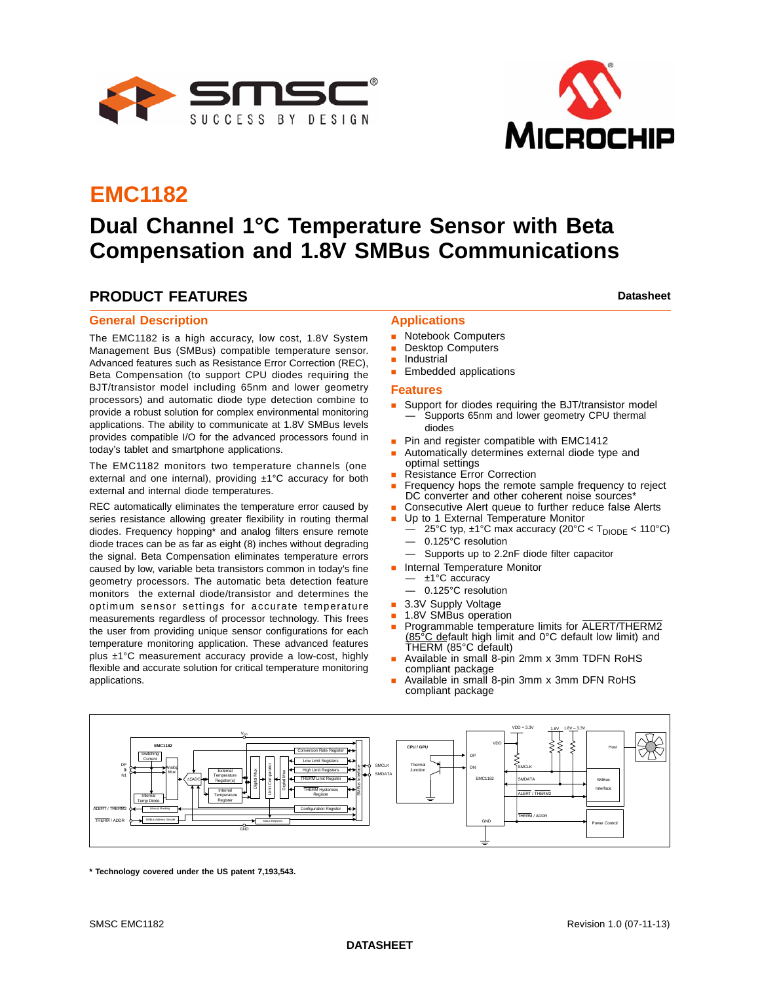



# **EMC1182**

# **Dual Channel 1°C Temperature Sensor with Beta Compensation and 1.8V SMBus Communications**

### **PRODUCT FEATURES Datasheet Datasheet Datasheet**

#### **General Description**

The EMC1182 is a high accuracy, low cost, 1.8V System Management Bus (SMBus) compatible temperature sensor. Advanced features such as Resistance Error Correction (REC), Beta Compensation (to support CPU diodes requiring the BJT/transistor model including 65nm and lower geometry processors) and automatic diode type detection combine to provide a robust solution for complex environmental monitoring applications. The ability to communicate at 1.8V SMBus levels provides compatible I/O for the advanced processors found in today's tablet and smartphone applications.

The EMC1182 monitors two temperature channels (one external and one internal), providing ±1°C accuracy for both external and internal diode temperatures.

REC automatically eliminates the temperature error caused by series resistance allowing greater flexibility in routing thermal diodes. Frequency hopping\* and analog filters ensure remote diode traces can be as far as eight (8) inches without degrading the signal. Beta Compensation eliminates temperature errors caused by low, variable beta transistors common in today's fine geometry processors. The automatic beta detection feature monitors the external diode/transistor and determines the optimum sensor settings for accurate temperature measurements regardless of processor technology. This frees the user from providing unique sensor configurations for each temperature monitoring application. These advanced features plus ±1°C measurement accuracy provide a low-cost, highly flexible and accurate solution for critical temperature monitoring applications.

### **Applications**

- **Notebook Computers**
- Desktop Computers
- **Industrial**
- **Embedded applications**

#### **Features**

- **Support for diodes requiring the BJT/transistor model** Supports 65nm and lower geometry CPU thermal diodes
- Pin and register compatible with EMC1412
- Automatically determines external diode type and optimal settings
- Resistance Error Correction
- Frequency hops the remote sample frequency to reject DC converter and other coherent noise sources\*
- Consecutive Alert queue to further reduce false Alerts
- Up to 1 External Temperature Monitor
	- 25°C typ,  $\pm$ 1°C max accuracy (20°C < T<sub>DIODE</sub> < 110°C) — 0.125°C resolution
	- Supports up to 2.2nF diode filter capacitor
- **Internal Temperature Monitor** 
	- ±1°C accuracy
	- 0.125°C resolution
- 3.3V Supply Voltage
- 1.8V SMBus operation
- Programmable temperature limits for ALERT/THERM2 (85°C default high limit and 0°C default low limit) and THERM (85°C default)
- Available in small 8-pin 2mm x 3mm TDFN RoHS compliant package
- Available in small 8-pin 3mm x 3mm DFN RoHS compliant package



**\* Technology covered under the US patent 7,193,543.**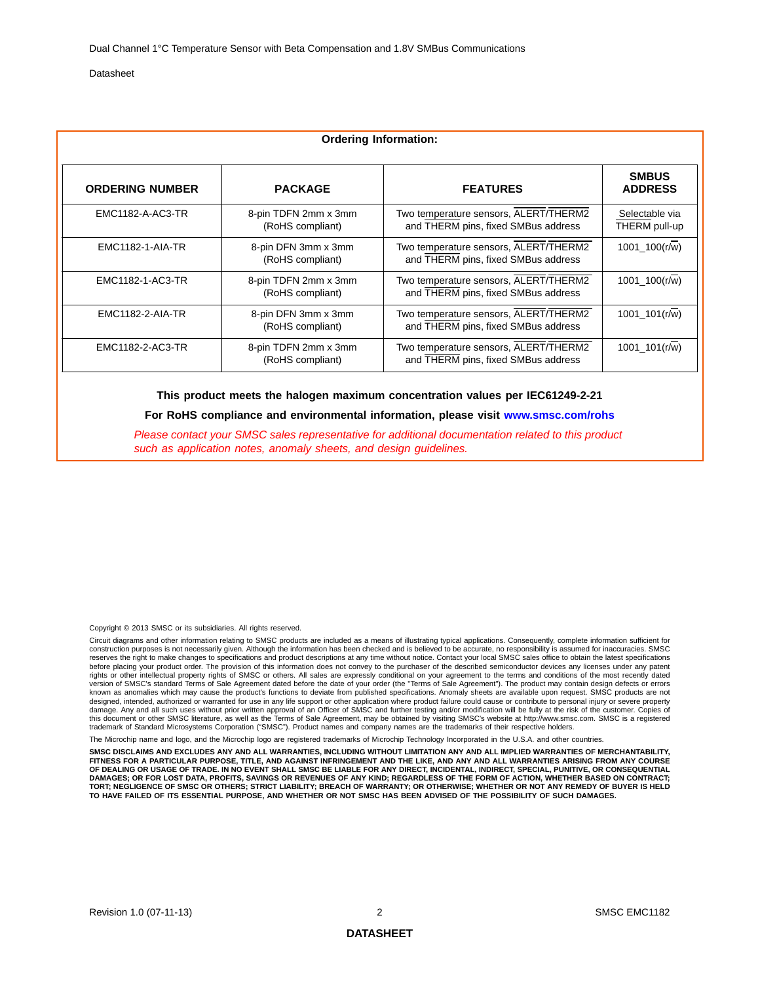| <b>Ordering Information:</b> |                                          |                                                                              |                                 |  |  |  |  |  |
|------------------------------|------------------------------------------|------------------------------------------------------------------------------|---------------------------------|--|--|--|--|--|
| <b>ORDERING NUMBER</b>       | <b>PACKAGE</b>                           | <b>FEATURES</b>                                                              | <b>SMBUS</b><br><b>ADDRESS</b>  |  |  |  |  |  |
| <b>EMC1182-A-AC3-TR</b>      | 8-pin TDFN 2mm x 3mm<br>(RoHS compliant) | Two temperature sensors, ALERT/THERM2<br>and THERM pins, fixed SMBus address | Selectable via<br>THERM pull-up |  |  |  |  |  |
| <b>EMC1182-1-AIA-TR</b>      | 8-pin DFN 3mm x 3mm<br>(RoHS compliant)  | Two temperature sensors, ALERT/THERM2<br>and THERM pins, fixed SMBus address | 1001 100(r/w)                   |  |  |  |  |  |
| EMC1182-1-AC3-TR             | 8-pin TDFN 2mm x 3mm<br>(RoHS compliant) | Two temperature sensors, ALERT/THERM2<br>and THERM pins, fixed SMBus address | 1001 100(r/w)                   |  |  |  |  |  |
| EMC1182-2-AIA-TR             | 8-pin DFN 3mm x 3mm<br>(RoHS compliant)  | Two temperature sensors, ALERT/THERM2<br>and THERM pins, fixed SMBus address | 1001 $101(r/w)$                 |  |  |  |  |  |
| EMC1182-2-AC3-TR             | 8-pin TDFN 2mm x 3mm<br>(RoHS compliant) | Two temperature sensors, ALERT/THERM2<br>and THERM pins, fixed SMBus address | 1001 $101(r/w)$                 |  |  |  |  |  |

**This product meets the halogen maximum concentration values per IEC61249-2-21**

**For RoHS compliance and environmental information, please visit [www.smsc.com/rohs](http://www.smsc.com/index.php?tid=219
)**

*Please contact your SMSC sales representative for additional documentation related to this product such as application notes, anomaly sheets, and design guidelines.*

Copyright © 2013 SMSC or its subsidiaries. All rights reserved.

Circuit diagrams and other information relating to SMSC products are included as a means of illustrating typical applications. Consequently, complete information sufficient for<br>construction purposes is not necessarily give reserves the right to make changes to specifications and product descriptions at any time without notice. Contact your local SMSC sales office to obtain the latest specifications before placing your product order. The provision of this information does not convey to the purchaser of the described semiconductor devices any licenses under any patent rights or other intellectual property rights of SMSC or others. All sales are expressly conditional on your agreement to the terms and conditions of the most recently dated version of SMSC's standard Terms of Sale Agreement dated before the date of your order (the "Terms of Sale Agreement"). The product may contain design defects or errors known as anomalies which may cause the product's functions to deviate from published specifications. Anomaly sheets are available upon request. SMSC products are not<br>designed, intended, authorized or warranted for use in a damage. Any and all such uses without prior written approval of an Officer of SMSC and further testing and/or modification will be fully at the risk of the customer. Copies of<br>this document or other SMSC literature, as we

rochip name and logo, and the Microchip logo are registered trademarks of Microchip Technology Incorporated in the U.S.A. and other countrie

**SMSC DISCLAIMS AND EXCLUDES ANY AND ALL WARRANTIES, INCLUDING WITHOUT LIMITATION ANY AND ALL IMPLIED WARRANTIES OF MERCHANTABILITY, FITNESS FOR A PARTICULAR PURPOSE, TITLE, AND AGAINST INFRINGEMENT AND THE LIKE, AND ANY AND ALL WARRANTIES ARISING FROM ANY COURSE OF DEALING OR USAGE OF TRADE. IN NO EVENT SHALL SMSC BE LIABLE FOR ANY DIRECT, INCIDENTAL, INDIRECT, SPECIAL, PUNITIVE, OR CONSEQUENTIAL DAMAGES; OR FOR LOST DATA, PROFITS, SAVINGS OR REVENUES OF ANY KIND; REGARDLESS OF THE FORM OF ACTION, WHETHER BASED ON CONTRACT; TORT; NEGLIGENCE OF SMSC OR OTHERS; STRICT LIABILITY; BREACH OF WARRANTY; OR OTHERWISE; WHETHER OR NOT ANY REMEDY OF BUYER IS HELD TO HAVE FAILED OF ITS ESSENTIAL PURPOSE, AND WHETHER OR NOT SMSC HAS BEEN ADVISED OF THE POSSIBILITY OF SUCH DAMAGES.**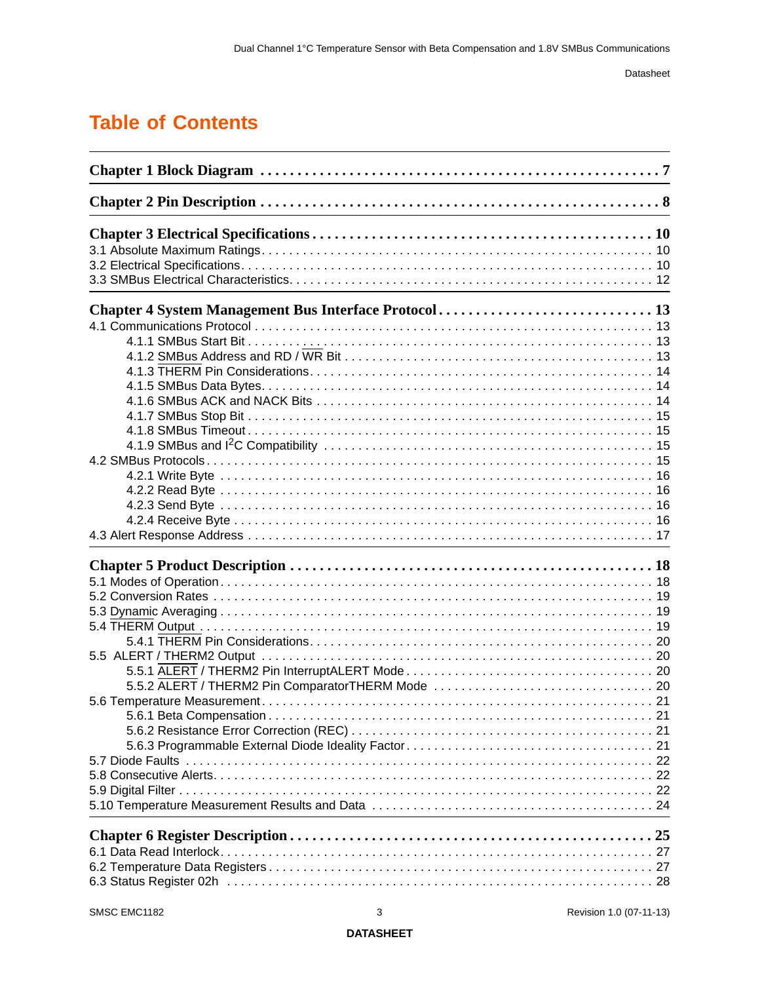# **[Table of Contents](#page-6-0)**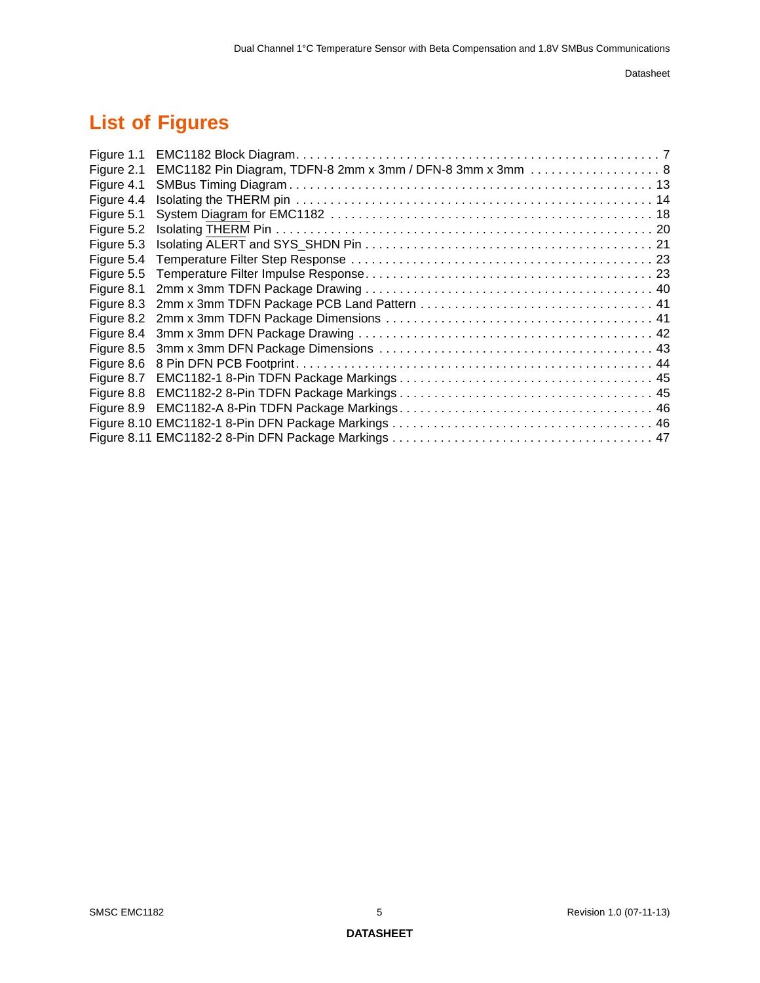# **List of Figures**

| Figure 1.1 |                                                            |
|------------|------------------------------------------------------------|
| Figure 2.1 | EMC1182 Pin Diagram, TDFN-8 2mm x 3mm / DFN-8 3mm x 3mm  8 |
| Figure 4.1 |                                                            |
| Figure 4.4 |                                                            |
| Figure 5.1 |                                                            |
| Figure 5.2 |                                                            |
| Figure 5.3 |                                                            |
| Figure 5.4 |                                                            |
| Figure 5.5 |                                                            |
| Figure 8.1 |                                                            |
| Figure 8.3 |                                                            |
| Figure 8.2 |                                                            |
| Figure 8.4 |                                                            |
| Figure 8.5 |                                                            |
| Figure 8.6 |                                                            |
| Figure 8.7 |                                                            |
| Figure 8.8 |                                                            |
| Figure 8.9 |                                                            |
|            |                                                            |
|            |                                                            |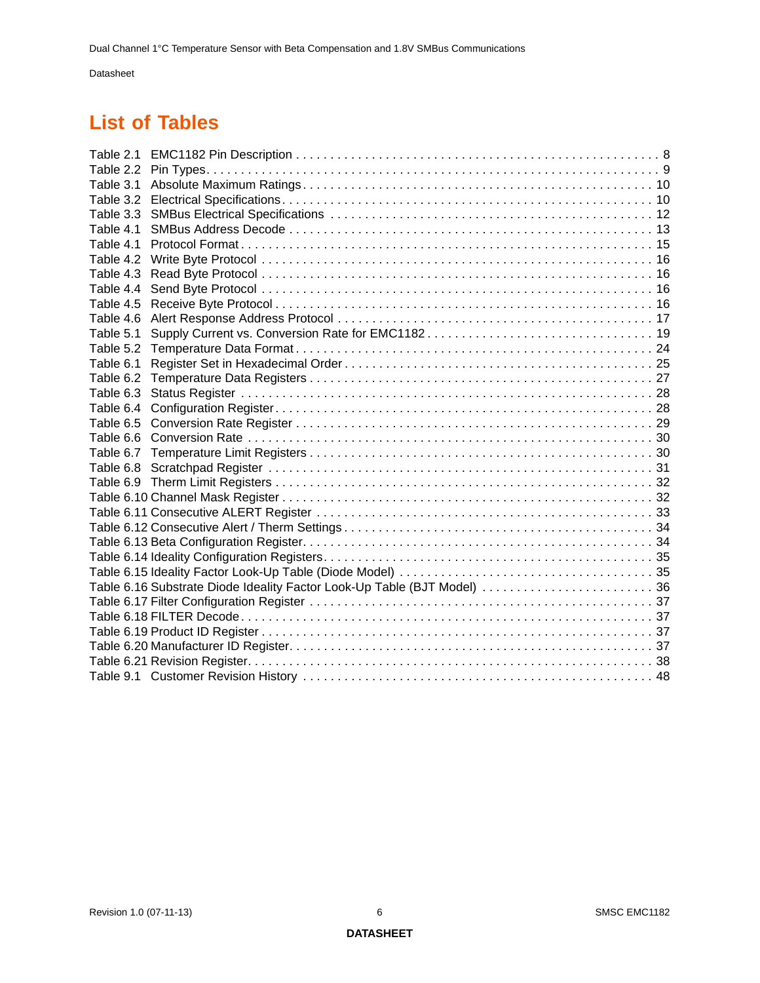# **List of Tables**

| Table 2.2 |                                                                          |  |
|-----------|--------------------------------------------------------------------------|--|
| Table 3.1 |                                                                          |  |
| Table 3.2 |                                                                          |  |
| Table 3.3 |                                                                          |  |
| Table 4.1 |                                                                          |  |
| Table 4.1 |                                                                          |  |
| Table 4.2 |                                                                          |  |
| Table 4.3 |                                                                          |  |
| Table 4.4 |                                                                          |  |
| Table 4.5 |                                                                          |  |
| Table 4.6 |                                                                          |  |
| Table 5.1 |                                                                          |  |
| Table 5.2 |                                                                          |  |
| Table 6.1 |                                                                          |  |
| Table 6.2 |                                                                          |  |
| Table 6.3 |                                                                          |  |
| Table 6.4 |                                                                          |  |
| Table 6.5 |                                                                          |  |
| Table 6.6 |                                                                          |  |
| Table 6.7 |                                                                          |  |
| Table 6.8 |                                                                          |  |
| Table 6.9 |                                                                          |  |
|           |                                                                          |  |
|           |                                                                          |  |
|           |                                                                          |  |
|           |                                                                          |  |
|           |                                                                          |  |
|           |                                                                          |  |
|           | Table 6.16 Substrate Diode Ideality Factor Look-Up Table (BJT Model)  36 |  |
|           |                                                                          |  |
|           |                                                                          |  |
|           |                                                                          |  |
|           |                                                                          |  |
|           |                                                                          |  |
|           |                                                                          |  |
|           |                                                                          |  |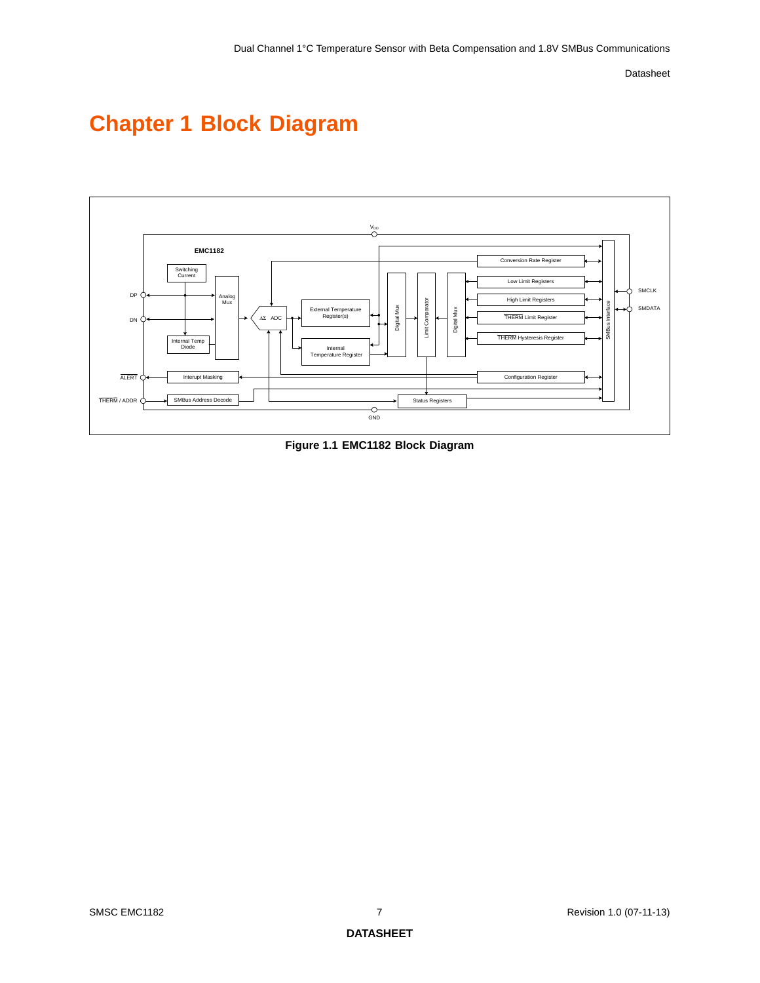# <span id="page-6-0"></span>**Chapter 1 Block Diagram**



<span id="page-6-1"></span>**Figure 1.1 EMC1182 Block Diagram**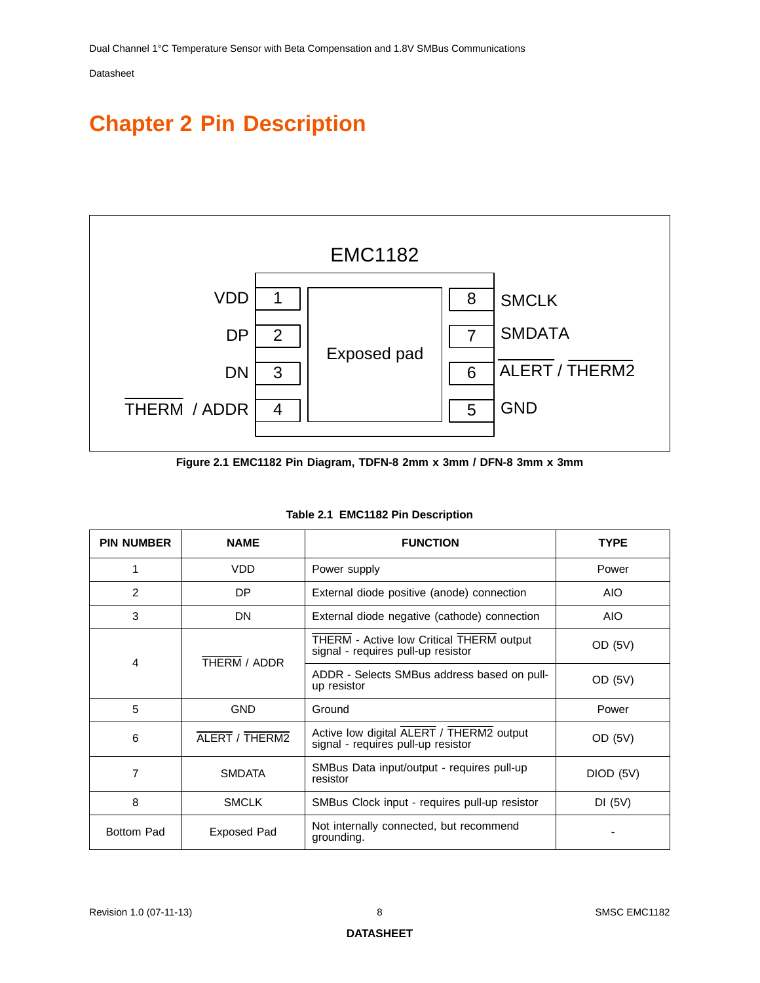# <span id="page-7-0"></span>**Chapter 2 Pin Description**



**Figure 2.1 EMC1182 Pin Diagram, TDFN-8 2mm x 3mm / DFN-8 3mm x 3mm**

<span id="page-7-2"></span><span id="page-7-1"></span>

| <b>PIN NUMBER</b> | <b>NAME</b>    | <b>FUNCTION</b>                                                                | <b>TYPE</b> |
|-------------------|----------------|--------------------------------------------------------------------------------|-------------|
| 1                 | <b>VDD</b>     | Power supply                                                                   | Power       |
| 2                 | DP             | External diode positive (anode) connection                                     | <b>AIO</b>  |
| 3                 | DN             | External diode negative (cathode) connection                                   | <b>AIO</b>  |
| 4                 | THERM / ADDR   | THERM - Active low Critical THERM output<br>signal - requires pull-up resistor | OD (5V)     |
|                   |                | ADDR - Selects SMBus address based on pull-<br>up resistor                     | OD (5V)     |
| 5                 | <b>GND</b>     | Ground                                                                         | Power       |
| 6                 | ALERT / THERM2 | Active low digital ALERT / THERM2 output<br>signal - requires pull-up resistor | OD (5V)     |
| 7                 | <b>SMDATA</b>  | SMBus Data input/output - requires pull-up<br>resistor                         | DIOD (5V)   |
| 8                 | <b>SMCLK</b>   | SMBus Clock input - requires pull-up resistor                                  | DI(5V)      |
| <b>Bottom Pad</b> | Exposed Pad    | Not internally connected, but recommend<br>grounding.                          |             |

|  |  | Table 2.1 EMC1182 Pin Description |
|--|--|-----------------------------------|
|--|--|-----------------------------------|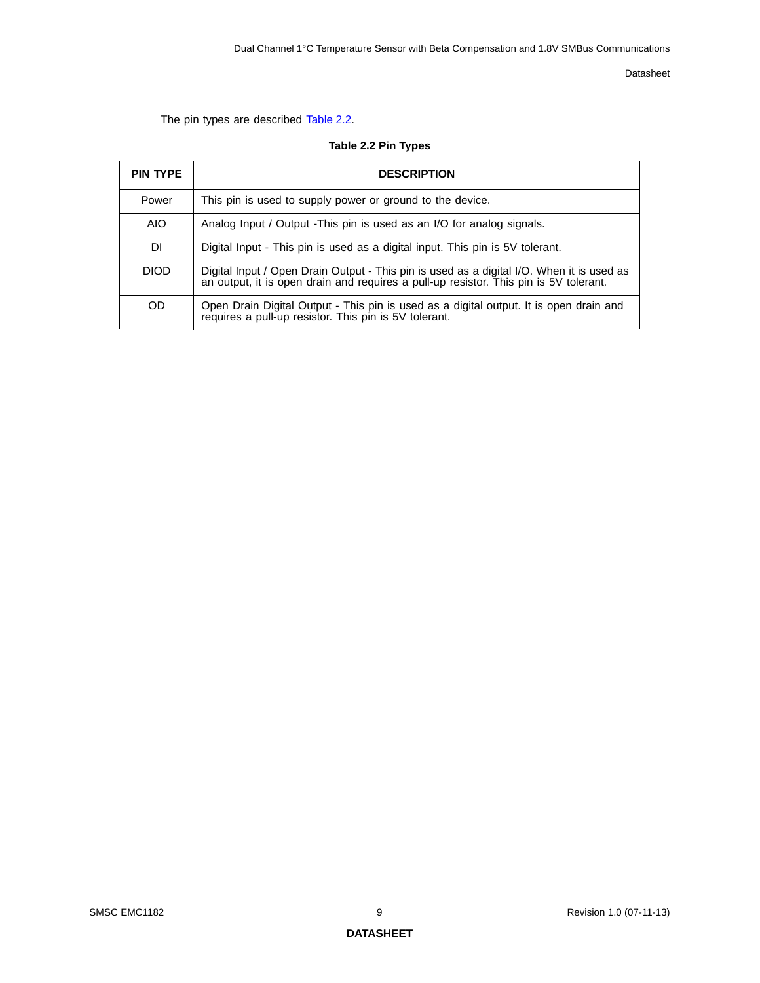The pin types are described [Table](#page-8-0) 2.2.

|  |  |  | Table 2.2 Pin Types |
|--|--|--|---------------------|
|--|--|--|---------------------|

<span id="page-8-0"></span>

| <b>PIN TYPE</b> | <b>DESCRIPTION</b>                                                                                                                                                                 |
|-----------------|------------------------------------------------------------------------------------------------------------------------------------------------------------------------------------|
| Power           | This pin is used to supply power or ground to the device.                                                                                                                          |
| AIO             | Analog Input / Output - This pin is used as an I/O for analog signals.                                                                                                             |
| DI.             | Digital Input - This pin is used as a digital input. This pin is 5V tolerant.                                                                                                      |
| <b>DIOD</b>     | Digital Input / Open Drain Output - This pin is used as a digital I/O. When it is used as<br>an output, it is open drain and requires a pull-up resistor. This pin is 5V tolerant. |
| <b>OD</b>       | Open Drain Digital Output - This pin is used as a digital output. It is open drain and requires a pull-up resistor. This pin is 5V tolerant.                                       |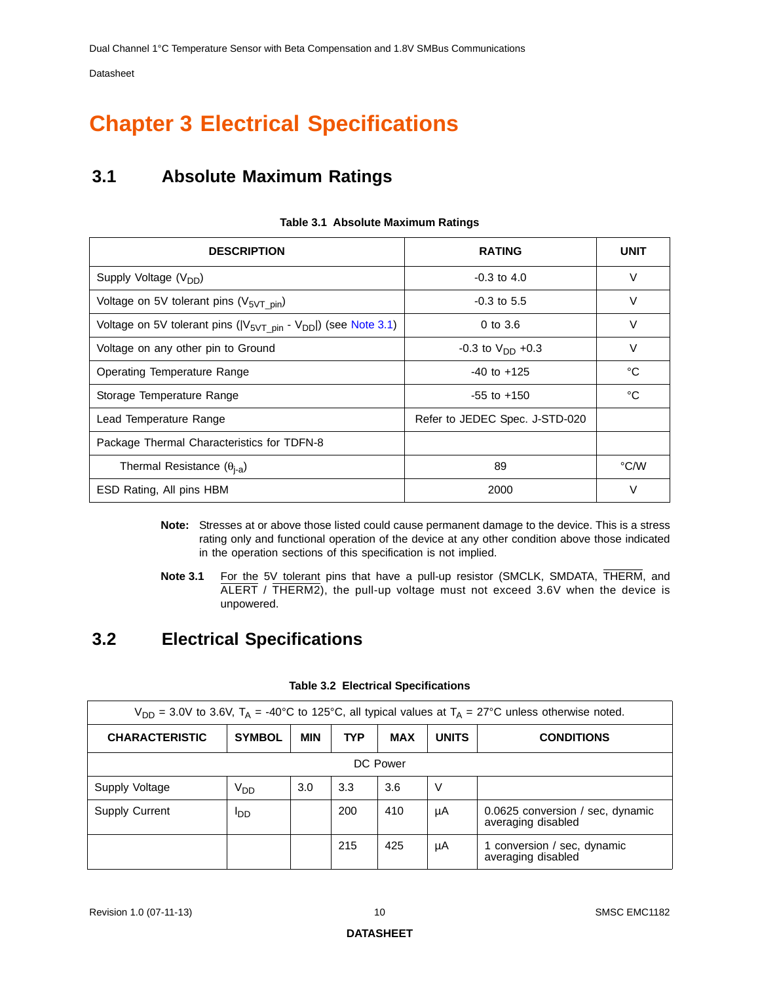# <span id="page-9-0"></span>**Chapter 3 Electrical Specifications**

# <span id="page-9-1"></span>**3.1 Absolute Maximum Ratings**

<span id="page-9-3"></span>

| <b>DESCRIPTION</b>                                                     | <b>RATING</b>                  | <b>UNIT</b> |
|------------------------------------------------------------------------|--------------------------------|-------------|
| Supply Voltage (V <sub>DD</sub> )                                      | $-0.3$ to $4.0$                | $\vee$      |
| Voltage on 5V tolerant pins $(V_{5VT\ pin})$                           | $-0.3$ to 5.5                  | V           |
| Voltage on 5V tolerant pins $( V_{5VT\_pin} - V_{DD} )$ (see Note 3.1) | $0$ to $3.6$                   | $\vee$      |
| Voltage on any other pin to Ground                                     | $-0.3$ to $V_{DD}$ +0.3        | V           |
| Operating Temperature Range                                            | $-40$ to $+125$                | °C          |
| Storage Temperature Range                                              | $-55$ to $+150$                | °C          |
| Lead Temperature Range                                                 | Refer to JEDEC Spec. J-STD-020 |             |
| Package Thermal Characteristics for TDFN-8                             |                                |             |
| Thermal Resistance $(\theta_{i-a})$                                    | 89                             | °C/W        |
| ESD Rating, All pins HBM                                               | 2000                           | $\vee$      |

#### **Table 3.1 Absolute Maximum Ratings**

- **Note:** Stresses at or above those listed could cause permanent damage to the device. This is a stress rating only and functional operation of the device at any other condition above those indicated in the operation sections of this specification is not implied.
- **Note 3.1** For the 5V tolerant pins that have a pull-up resistor (SMCLK, SMDATA, THERM, and ALERT / THERM2), the pull-up voltage must not exceed 3.6V when the device is unpowered.

## <span id="page-9-5"></span><span id="page-9-2"></span>**3.2 Electrical Specifications**

<span id="page-9-4"></span>

| $V_{DD}$ = 3.0V to 3.6V, T <sub>A</sub> = -40°C to 125°C, all typical values at T <sub>A</sub> = 27°C unless otherwise noted. |                 |            |            |            |              |                                                        |  |
|-------------------------------------------------------------------------------------------------------------------------------|-----------------|------------|------------|------------|--------------|--------------------------------------------------------|--|
| <b>CHARACTERISTIC</b>                                                                                                         | <b>SYMBOL</b>   | <b>MIN</b> | <b>TYP</b> | <b>MAX</b> | <b>UNITS</b> | <b>CONDITIONS</b>                                      |  |
| DC Power                                                                                                                      |                 |            |            |            |              |                                                        |  |
| Supply Voltage                                                                                                                | V <sub>DD</sub> | 3.0        | 3.3        | 3.6        | V            |                                                        |  |
| <b>Supply Current</b>                                                                                                         | ססי             |            | 200        | 410        | μA           | 0.0625 conversion / sec. dynamic<br>averaging disabled |  |
|                                                                                                                               |                 |            | 215        | 425        | μA           | 1 conversion / sec, dynamic<br>averaging disabled      |  |

#### **Table 3.2 Electrical Specifications**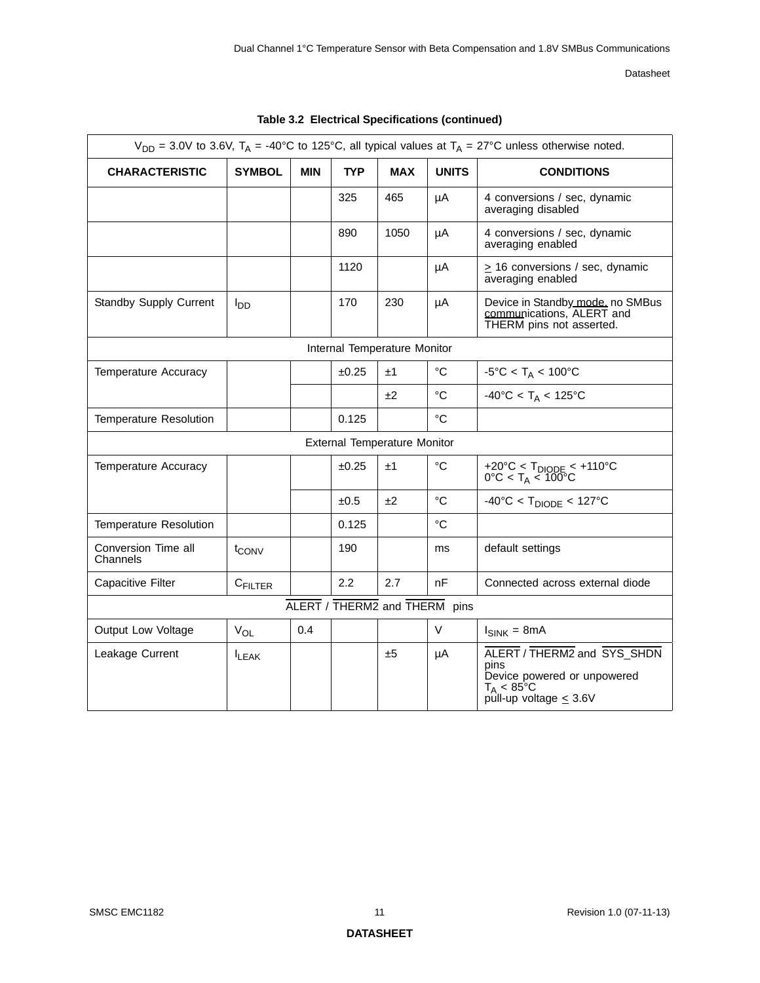| $V_{DD}$ = 3.0V to 3.6V, T <sub>A</sub> = -40°C to 125°C, all typical values at T <sub>A</sub> = 27°C unless otherwise noted. |                   |     |            |                                     |              |                                                                                                                           |  |
|-------------------------------------------------------------------------------------------------------------------------------|-------------------|-----|------------|-------------------------------------|--------------|---------------------------------------------------------------------------------------------------------------------------|--|
| <b>CHARACTERISTIC</b>                                                                                                         | <b>SYMBOL</b>     | MIN | <b>TYP</b> | <b>MAX</b>                          | <b>UNITS</b> | <b>CONDITIONS</b>                                                                                                         |  |
|                                                                                                                               |                   |     | 325        | 465                                 | μA           | 4 conversions / sec, dynamic<br>averaging disabled                                                                        |  |
|                                                                                                                               |                   |     | 890        | 1050                                | μA           | 4 conversions / sec, dynamic<br>averaging enabled                                                                         |  |
|                                                                                                                               |                   |     | 1120       |                                     | μA           | $\geq$ 16 conversions / sec, dynamic<br>averaging enabled                                                                 |  |
| Standby Supply Current                                                                                                        | l <sub>DD</sub>   |     | 170        | 230                                 | μA           | Device in Standby mode, no SMBus<br>communications, ALERT and<br>THERM pins not asserted.                                 |  |
|                                                                                                                               |                   |     |            | Internal Temperature Monitor        |              |                                                                                                                           |  |
| Temperature Accuracy                                                                                                          |                   |     | ±0.25      | ±1                                  | °C           | $-5^{\circ}$ C < T <sub>A</sub> < 100 $^{\circ}$ C                                                                        |  |
|                                                                                                                               |                   |     |            | ±2                                  | $^{\circ}C$  | $-40^{\circ}$ C < T <sub>A</sub> < 125°C                                                                                  |  |
| Temperature Resolution                                                                                                        |                   |     | 0.125      |                                     | $^{\circ}C$  |                                                                                                                           |  |
|                                                                                                                               |                   |     |            | <b>External Temperature Monitor</b> |              |                                                                                                                           |  |
| <b>Temperature Accuracy</b>                                                                                                   |                   |     | ±0.25      | ±1                                  | $^{\circ}C$  | +20°C < $T_{DIODE}$ < +110°C<br>0°C < $T_A$ < 100°C                                                                       |  |
|                                                                                                                               |                   |     | ±0.5       | ±2                                  | $^{\circ}C$  | $-40^{\circ}$ C < T <sub>DIODE</sub> < 127°C                                                                              |  |
| <b>Temperature Resolution</b>                                                                                                 |                   |     | 0.125      |                                     | $^{\circ}C$  |                                                                                                                           |  |
| Conversion Time all<br>Channels                                                                                               | t <sub>CONV</sub> |     | 190        |                                     | ms           | default settings                                                                                                          |  |
| <b>Capacitive Filter</b>                                                                                                      | CFILTER           |     | 2.2        | 2.7                                 | nF           | Connected across external diode                                                                                           |  |
| ALERT / THERM2 and THERM pins                                                                                                 |                   |     |            |                                     |              |                                                                                                                           |  |
| Output Low Voltage                                                                                                            | $V_{OL}$          | 0.4 |            |                                     | V            | $I_{SINK} = 8mA$                                                                                                          |  |
| Leakage Current                                                                                                               | <b>ILEAK</b>      |     |            | ±5                                  | μA           | ALERT / THERM2 and SYS_SHDN<br>pins<br>Device powered or unpowered<br>$T_A < 85^{\circ}$ C<br>pull-up voltage $\leq 3.6V$ |  |

**Table 3.2 Electrical Specifications (continued)**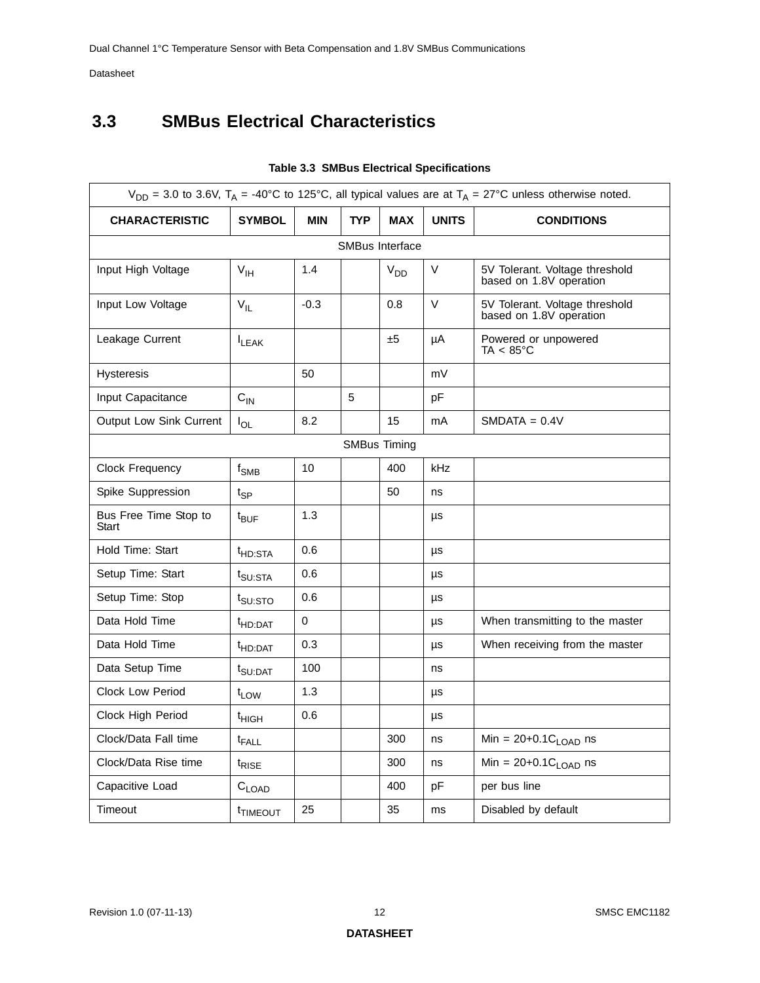# <span id="page-11-0"></span>**3.3 SMBus Electrical Characteristics**

<span id="page-11-1"></span>

|                                       | $V_{DD}$ = 3.0 to 3.6V, T <sub>A</sub> = -40°C to 125°C, all typical values are at T <sub>A</sub> = 27°C unless otherwise noted. |            |            |                        |              |                                                           |  |  |  |
|---------------------------------------|----------------------------------------------------------------------------------------------------------------------------------|------------|------------|------------------------|--------------|-----------------------------------------------------------|--|--|--|
| <b>CHARACTERISTIC</b>                 | <b>SYMBOL</b>                                                                                                                    | <b>MIN</b> | <b>TYP</b> | <b>MAX</b>             | <b>UNITS</b> | <b>CONDITIONS</b>                                         |  |  |  |
|                                       |                                                                                                                                  |            |            | <b>SMBus Interface</b> |              |                                                           |  |  |  |
| Input High Voltage                    | $V_{IH}$                                                                                                                         | 1.4        |            | V <sub>DD</sub>        | V            | 5V Tolerant. Voltage threshold<br>based on 1.8V operation |  |  |  |
| Input Low Voltage                     | $V_{IL}$                                                                                                                         | $-0.3$     |            | 0.8                    | V            | 5V Tolerant. Voltage threshold<br>based on 1.8V operation |  |  |  |
| Leakage Current                       | $I_{LEAK}$                                                                                                                       |            |            | ±5                     | μA           | Powered or unpowered<br>$TA < 85^{\circ}C$                |  |  |  |
| <b>Hysteresis</b>                     |                                                                                                                                  | 50         |            |                        | mV           |                                                           |  |  |  |
| Input Capacitance                     | $C_{IN}$                                                                                                                         |            | 5          |                        | рF           |                                                           |  |  |  |
| Output Low Sink Current               | $I_{OL}$                                                                                                                         | 8.2        |            | 15                     | mA           | $SMDATA = 0.4V$                                           |  |  |  |
|                                       |                                                                                                                                  |            |            | <b>SMBus Timing</b>    |              |                                                           |  |  |  |
| Clock Frequency                       | $f_{SMB}$                                                                                                                        | 10         |            | 400                    | kHz          |                                                           |  |  |  |
| Spike Suppression                     | $t_{SP}$                                                                                                                         |            |            | 50                     | ns           |                                                           |  |  |  |
| Bus Free Time Stop to<br><b>Start</b> | $t_{\text{BUF}}$                                                                                                                 | 1.3        |            |                        | μs           |                                                           |  |  |  |
| Hold Time: Start                      | <sup>t</sup> HD:STA                                                                                                              | 0.6        |            |                        | μs           |                                                           |  |  |  |
| Setup Time: Start                     | t <sub>SU:STA</sub>                                                                                                              | 0.6        |            |                        | μs           |                                                           |  |  |  |
| Setup Time: Stop                      | t <sub>SU:STO</sub>                                                                                                              | 0.6        |            |                        | μs           |                                                           |  |  |  |
| Data Hold Time                        | <sup>t</sup> HD:DAT                                                                                                              | 0          |            |                        | μs           | When transmitting to the master                           |  |  |  |
| Data Hold Time                        | <sup>t</sup> HD:DAT                                                                                                              | 0.3        |            |                        | μs           | When receiving from the master                            |  |  |  |
| Data Setup Time                       | t <sub>SU:DAT</sub>                                                                                                              | 100        |            |                        | ns           |                                                           |  |  |  |
| <b>Clock Low Period</b>               | $t_{LOW}$                                                                                                                        | 1.3        |            |                        | μs           |                                                           |  |  |  |
| Clock High Period                     | <sup>t</sup> HIGH                                                                                                                | 0.6        |            |                        | μs           |                                                           |  |  |  |
| Clock/Data Fall time                  | $t_{FALL}$                                                                                                                       |            |            | 300                    | ns           | Min = $20+0.1C_{LOAD}$ ns                                 |  |  |  |
| Clock/Data Rise time                  | $t_{\text{RISE}}$                                                                                                                |            |            | 300                    | ns           | Min = $20+0.1C_{\text{LOAD}}$ ns                          |  |  |  |
| Capacitive Load                       | $C_{LOAD}$                                                                                                                       |            |            | 400                    | pF           | per bus line                                              |  |  |  |
| Timeout                               | <sup>t</sup> TIMEOUT                                                                                                             | 25         |            | 35                     | ms           | Disabled by default                                       |  |  |  |

#### **Table 3.3 SMBus Electrical Specifications**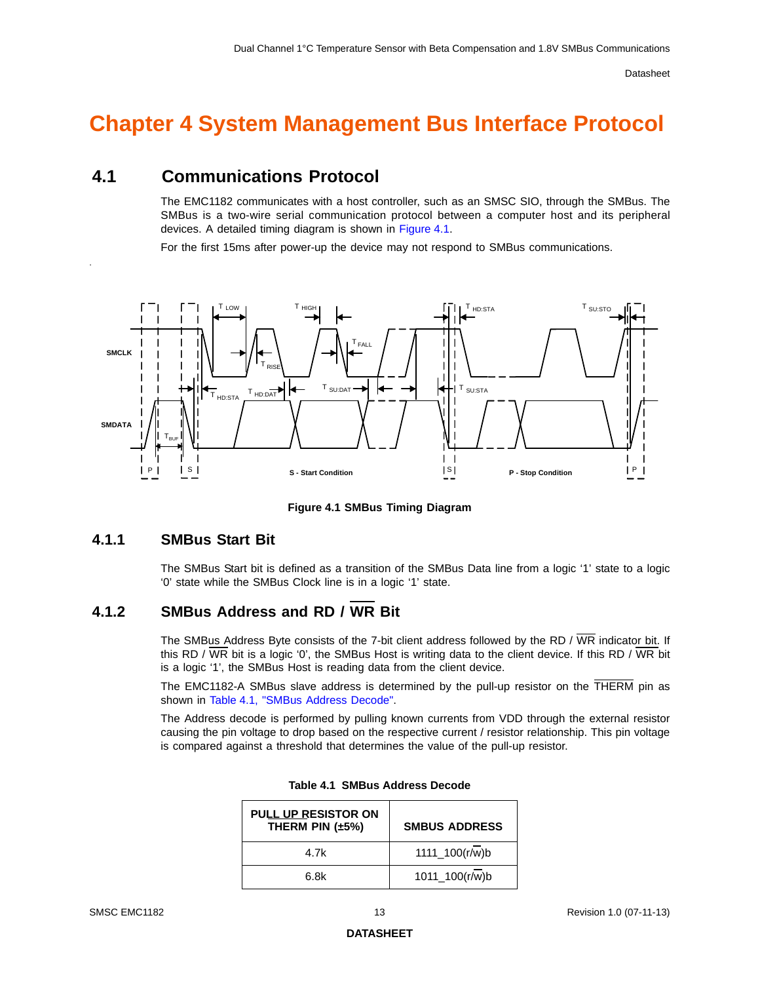# <span id="page-12-0"></span>**Chapter 4 System Management Bus Interface Protocol**

## <span id="page-12-1"></span>**4.1 Communications Protocol**

The EMC1182 communicates with a host controller, such as an SMSC SIO, through the SMBus. The SMBus is a two-wire serial communication protocol between a computer host and its peripheral devices. A detailed timing diagram is shown in [Figure](#page-12-4) 4.1.

For the first 15ms after power-up the device may not respond to SMBus communications.



**Figure 4.1 SMBus Timing Diagram**

### <span id="page-12-4"></span><span id="page-12-2"></span>**4.1.1 SMBus Start Bit**

.

The SMBus Start bit is defined as a transition of the SMBus Data line from a logic '1' state to a logic '0' state while the SMBus Clock line is in a logic '1' state.

### <span id="page-12-3"></span>**4.1.2 SMBus Address and RD / WR Bit**

The SMBus Address Byte consists of the 7-bit client address followed by the RD / WR indicator bit. If this RD / WR bit is a logic '0', the SMBus Host is writing data to the client device. If this RD / WR bit is a logic '1', the SMBus Host is reading data from the client device.

The EMC1182-A SMBus slave address is determined by the pull-up resistor on the THERM pin as shown in Table [4.1, "SMBus Address Decode"](#page-12-5).

<span id="page-12-5"></span>The Address decode is performed by pulling known currents from VDD through the external resistor causing the pin voltage to drop based on the respective current / resistor relationship. This pin voltage is compared against a threshold that determines the value of the pull-up resistor.

| <b>PULL UP RESISTOR ON</b><br>THERM PIN $(\pm 5\%)$ | <b>SMBUS ADDRESS</b>           |
|-----------------------------------------------------|--------------------------------|
| 4.7k                                                | $1111 - 100(r/\overline{w})$ b |
| 6.8k                                                | 1011_100(r/w)b                 |

| Table 4.1 SMBus Address Decode |  |  |  |
|--------------------------------|--|--|--|
|--------------------------------|--|--|--|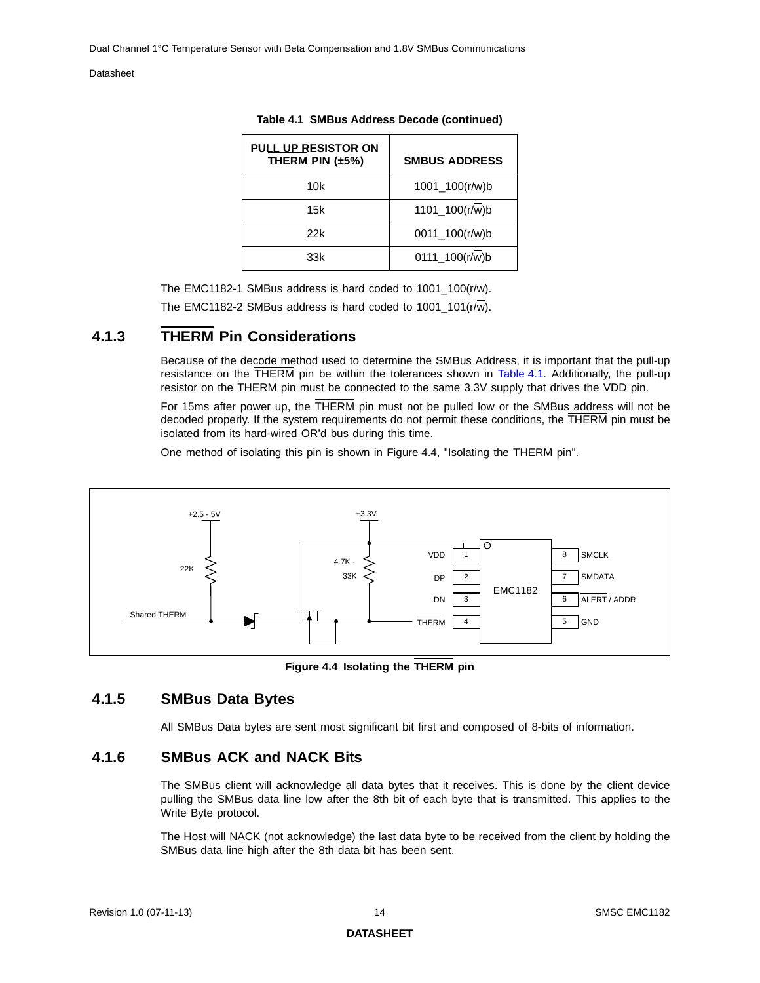| PULL UP RESISTOR ON<br>THERM PIN $(\pm 5\%)$ | <b>SMBUS ADDRESS</b>           |
|----------------------------------------------|--------------------------------|
| 10k                                          | 1001_100(r/w)b                 |
| 15k                                          | $1101 - 100(r/\overline{w})$ b |
| 22k                                          | 0011_100(r/w)b                 |
| 33k                                          | 0111_100(r/w)b                 |

| Table 4.1 SMBus Address Decode (continued) |  |
|--------------------------------------------|--|
|                                            |  |

The EMC1182-1 SMBus address is hard coded to  $1001 - 100(r/\overline{w})$ .

The EMC1182-2 SMBus address is hard coded to 1001\_101( $r/\overline{w}$ ).

### <span id="page-13-0"></span>**4.1.3 THERM Pin Considerations**

Because of the decode method used to determine the SMBus Address, it is important that the pull-up resistance on the THERM pin be within the tolerances shown in [Table](#page-12-5) 4.1. Additionally, the pull-up resistor on the THERM pin must be connected to the same 3.3V supply that drives the VDD pin.

For 15ms after power up, the THERM pin must not be pulled low or the SMBus address will not be decoded properly. If the system requirements do not permit these conditions, the THERM pin must be isolated from its hard-wired OR'd bus during this time.

One method of isolating this pin is shown in Figure [4.4, "Isolating the THERM pin".](#page-13-3)



**Figure 4.4 Isolating the THERM pin**

### <span id="page-13-3"></span><span id="page-13-1"></span>**4.1.5 SMBus Data Bytes**

All SMBus Data bytes are sent most significant bit first and composed of 8-bits of information.

### <span id="page-13-2"></span>**4.1.6 SMBus ACK and NACK Bits**

The SMBus client will acknowledge all data bytes that it receives. This is done by the client device pulling the SMBus data line low after the 8th bit of each byte that is transmitted. This applies to the Write Byte protocol.

The Host will NACK (not acknowledge) the last data byte to be received from the client by holding the SMBus data line high after the 8th data bit has been sent.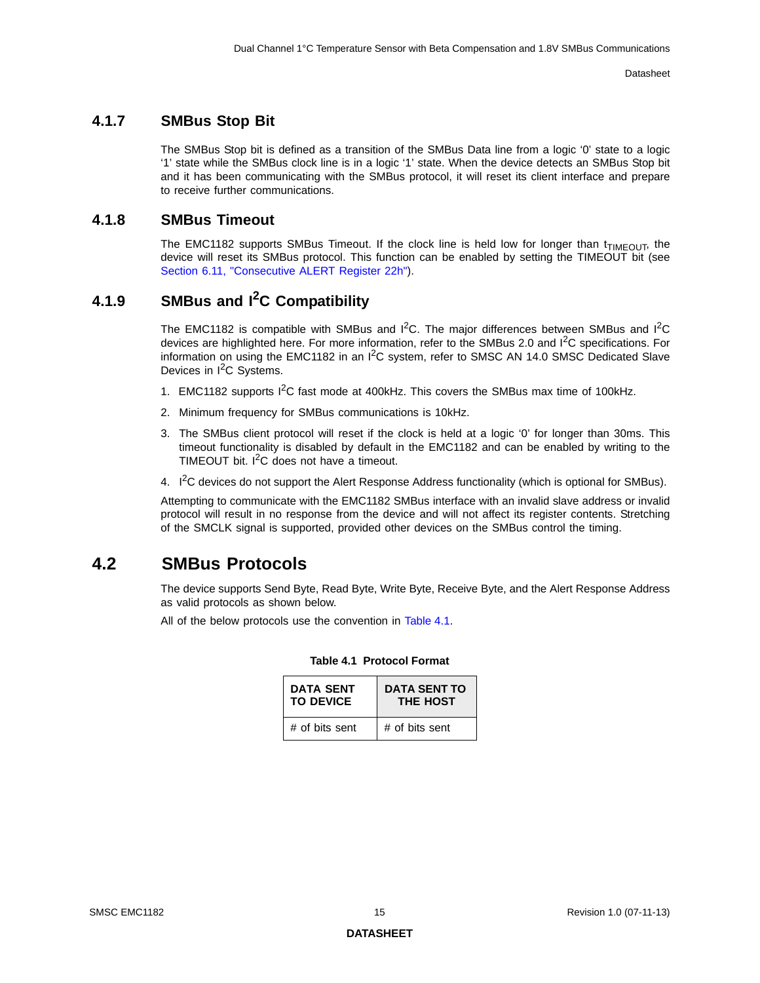### <span id="page-14-0"></span>**4.1.7 SMBus Stop Bit**

The SMBus Stop bit is defined as a transition of the SMBus Data line from a logic '0' state to a logic '1' state while the SMBus clock line is in a logic '1' state. When the device detects an SMBus Stop bit and it has been communicating with the SMBus protocol, it will reset its client interface and prepare to receive further communications.

### <span id="page-14-1"></span>**4.1.8 SMBus Timeout**

The EMC1182 supports SMBus Timeout. If the clock line is held low for longer than  $t_{\text{TIMEOLIT}}$ , the device will reset its SMBus protocol. This function can be enabled by setting the TIMEOUT bit (see [Section 6.11, "Consecutive ALERT Register 22h"](#page-32-2)).

# <span id="page-14-2"></span>**4.1.9 SMBus and I2C Compatibility**

The EMC1182 is compatible with SMBus and  $I<sup>2</sup>C$ . The major differences between SMBus and  $I<sup>2</sup>C$ devices are highlighted here. For more information, refer to the SMBus 2.0 and I<sup>2</sup>C specifications. For information on using the EMC1182 in an  ${}^{12}C$  system, refer to SMSC AN 14.0 SMSC Dedicated Slave Devices in I<sup>2</sup>C Systems.

- 1. EMC1182 supports  $I^2C$  fast mode at 400kHz. This covers the SMBus max time of 100kHz.
- 2. Minimum frequency for SMBus communications is 10kHz.
- 3. The SMBus client protocol will reset if the clock is held at a logic '0' for longer than 30ms. This timeout functionality is disabled by default in the EMC1182 and can be enabled by writing to the TIMEOUT bit.  $I^2C$  does not have a timeout.
- 4. I<sup>2</sup>C devices do not support the Alert Response Address functionality (which is optional for SMBus).

Attempting to communicate with the EMC1182 SMBus interface with an invalid slave address or invalid protocol will result in no response from the device and will not affect its register contents. Stretching of the SMCLK signal is supported, provided other devices on the SMBus control the timing.

### <span id="page-14-3"></span>**4.2 SMBus Protocols**

The device supports Send Byte, Read Byte, Write Byte, Receive Byte, and the Alert Response Address as valid protocols as shown below.

<span id="page-14-4"></span>All of the below protocols use the convention in [Table](#page-14-4) 4.1.

| <b>DATA SENT</b> | <b>DATA SENT TO</b> |
|------------------|---------------------|
| <b>TO DEVICE</b> | <b>THE HOST</b>     |
| # of bits sent   | # of bits sent      |

#### **Table 4.1 Protocol Format**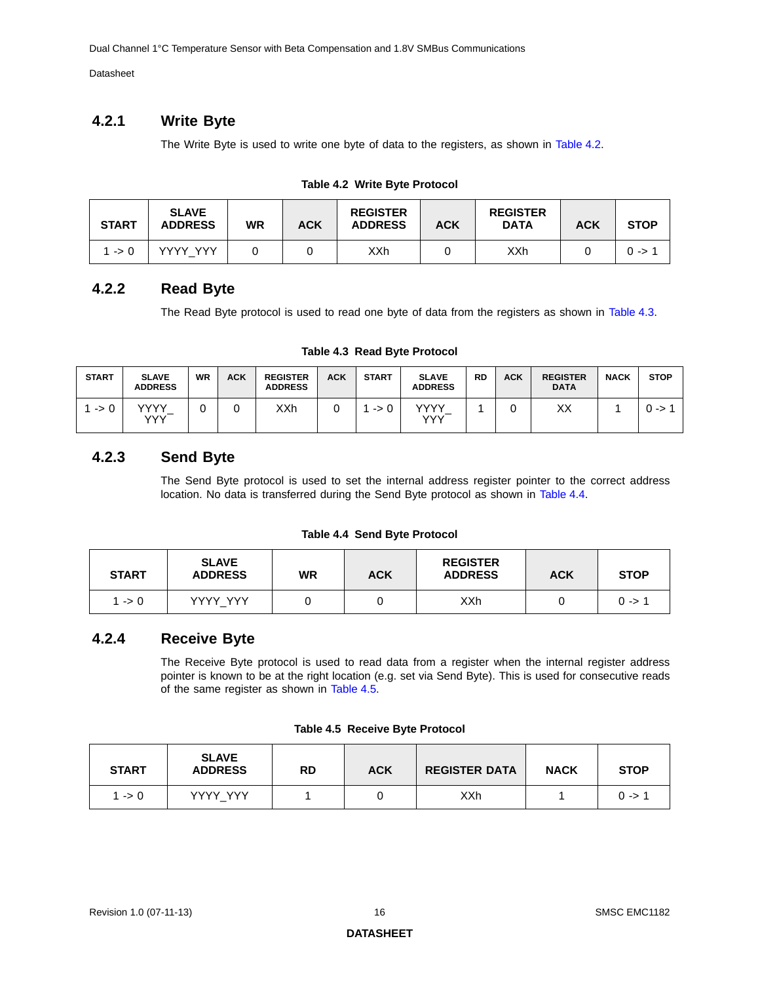Dual Channel 1°C Temperature Sensor with Beta Compensation and 1.8V SMBus Communications

Datasheet

### <span id="page-15-0"></span>**4.2.1 Write Byte**

The Write Byte is used to write one byte of data to the registers, as shown in [Table](#page-15-4) 4.2.

|  |  | Table 4.2 Write Byte Protocol |
|--|--|-------------------------------|
|--|--|-------------------------------|

<span id="page-15-4"></span>

| <b>START</b>    | <b>SLAVE</b><br><b>ADDRESS</b> | <b>WR</b> | <b>ACK</b> | <b>REGISTER</b><br><b>ADDRESS</b> | <b>ACK</b> | <b>REGISTER</b><br><b>DATA</b> | <b>ACK</b> | <b>STOP</b> |
|-----------------|--------------------------------|-----------|------------|-----------------------------------|------------|--------------------------------|------------|-------------|
| $\rightarrow 0$ | <b>YYYY YYY</b>                |           |            | XXh                               |            | XXh                            |            | 0 ->        |

### <span id="page-15-1"></span>**4.2.2 Read Byte**

The Read Byte protocol is used to read one byte of data from the registers as shown in [Table](#page-15-5) 4.3.

**Table 4.3 Read Byte Protocol**

<span id="page-15-5"></span>

| <b>START</b>    | <b>SLAVE</b><br><b>ADDRESS</b> | <b>WR</b> | <b>ACK</b> | <b>REGISTER</b><br><b>ADDRESS</b> | <b>ACK</b> | <b>START</b>    | <b>SLAVE</b><br><b>ADDRESS</b> | <b>RD</b> | <b>ACK</b> | <b>REGISTER</b><br><b>DATA</b> | <b>NACK</b> | <b>STOP</b> |
|-----------------|--------------------------------|-----------|------------|-----------------------------------|------------|-----------------|--------------------------------|-----------|------------|--------------------------------|-------------|-------------|
| $\rightarrow 0$ | <b>VVVV</b><br><b>YYY</b>      |           |            | XXh                               |            | $\rightarrow 0$ | vvvv<br>YYY                    |           |            | XХ                             |             | 0 ->        |

### <span id="page-15-2"></span>**4.2.3 Send Byte**

The Send Byte protocol is used to set the internal address register pointer to the correct address location. No data is transferred during the Send Byte protocol as shown in [Table](#page-15-6) 4.4.

#### **Table 4.4 Send Byte Protocol**

<span id="page-15-6"></span>

| <b>START</b> | <b>SLAVE</b><br><b>ADDRESS</b> | WR | <b>ACK</b> | <b>REGISTER</b><br><b>ADDRESS</b> | <b>ACK</b> | <b>STOP</b> |
|--------------|--------------------------------|----|------------|-----------------------------------|------------|-------------|
| 1 -> 0       | YYYY YYY                       |    |            | XXh                               |            | $0 - 5$     |

### <span id="page-15-3"></span>**4.2.4 Receive Byte**

The Receive Byte protocol is used to read data from a register when the internal register address pointer is known to be at the right location (e.g. set via Send Byte). This is used for consecutive reads of the same register as shown in [Table](#page-15-7) 4.5.

| Table 4.5 Receive Byte Protocol |
|---------------------------------|
|---------------------------------|

<span id="page-15-7"></span>

| <b>START</b> | <b>SLAVE</b><br><b>ADDRESS</b> | RD | <b>ACK</b> | <b>REGISTER DATA</b> | <b>NACK</b> | <b>STOP</b> |
|--------------|--------------------------------|----|------------|----------------------|-------------|-------------|
| 1 -> 0       | YYYY YYY                       |    |            | XXh                  |             | $0 - 5$     |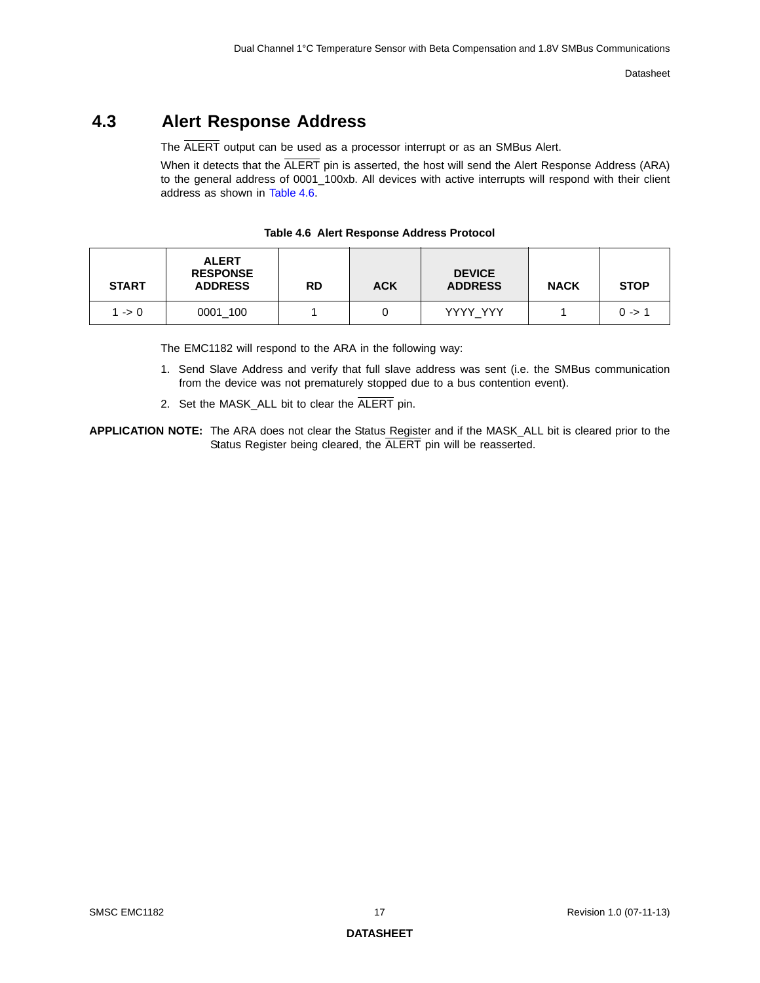# <span id="page-16-0"></span>**4.3 Alert Response Address**

The ALERT output can be used as a processor interrupt or as an SMBus Alert.

When it detects that the ALERT pin is asserted, the host will send the Alert Response Address (ARA) to the general address of 0001\_100xb. All devices with active interrupts will respond with their client address as shown in [Table](#page-16-1) 4.6.

<span id="page-16-1"></span>

| <b>START</b>    | <b>ALERT</b><br><b>RESPONSE</b><br><b>ADDRESS</b> | <b>RD</b> | <b>ACK</b> | <b>DEVICE</b><br><b>ADDRESS</b> | <b>NACK</b> | <b>STOP</b>       |
|-----------------|---------------------------------------------------|-----------|------------|---------------------------------|-------------|-------------------|
| $\rightarrow 0$ | 0001 100                                          |           |            | YYYY YYY                        |             | $0 \rightarrow 1$ |

**Table 4.6 Alert Response Address Protocol**

The EMC1182 will respond to the ARA in the following way:

- 1. Send Slave Address and verify that full slave address was sent (i.e. the SMBus communication from the device was not prematurely stopped due to a bus contention event).
- 2. Set the MASK\_ALL bit to clear the ALERT pin.
- **APPLICATION NOTE:** The ARA does not clear the Status Register and if the MASK\_ALL bit is cleared prior to the Status Register being cleared, the ALERT pin will be reasserted.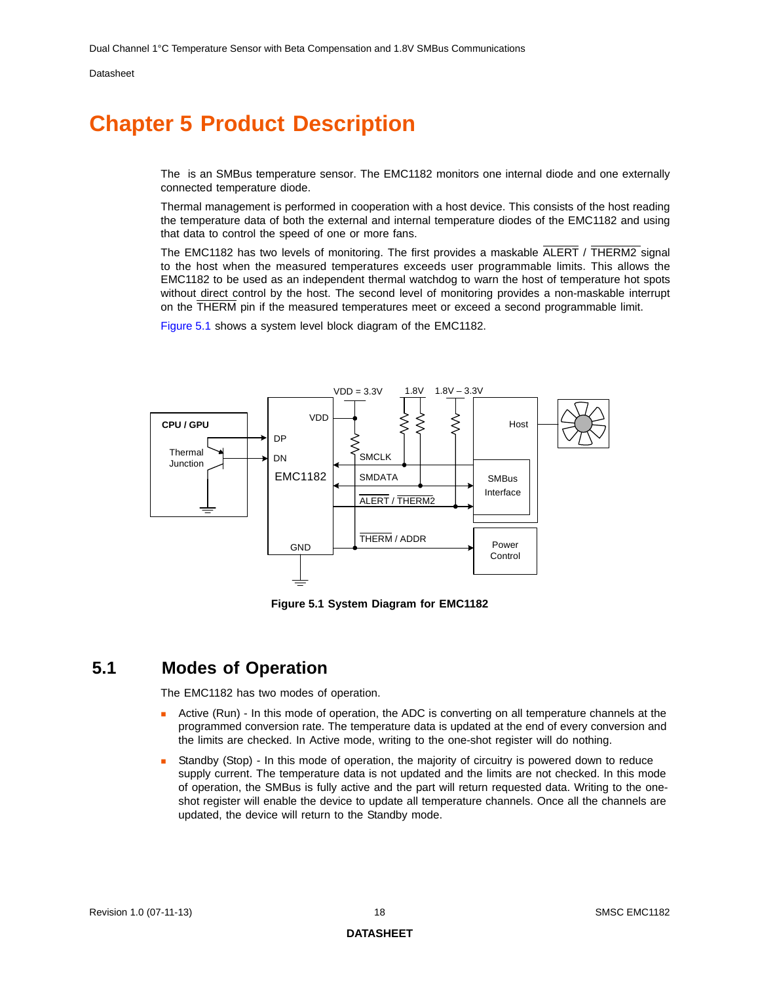# <span id="page-17-0"></span>**Chapter 5 Product Description**

The is an SMBus temperature sensor. The EMC1182 monitors one internal diode and one externally connected temperature diode.

Thermal management is performed in cooperation with a host device. This consists of the host reading the temperature data of both the external and internal temperature diodes of the EMC1182 and using that data to control the speed of one or more fans.

The EMC1182 has two levels of monitoring. The first provides a maskable ALERT / THERM2 signal to the host when the measured temperatures exceeds user programmable limits. This allows the EMC1182 to be used as an independent thermal watchdog to warn the host of temperature hot spots without direct control by the host. The second level of monitoring provides a non-maskable interrupt on the THERM pin if the measured temperatures meet or exceed a second programmable limit.

[Figure](#page-17-2) 5.1 shows a system level block diagram of the EMC1182.



**Figure 5.1 System Diagram for EMC1182**

## <span id="page-17-2"></span><span id="page-17-1"></span>**5.1 Modes of Operation**

The EMC1182 has two modes of operation.

- Active (Run) In this mode of operation, the ADC is converting on all temperature channels at the programmed conversion rate. The temperature data is updated at the end of every conversion and the limits are checked. In Active mode, writing to the one-shot register will do nothing.
- Standby (Stop) In this mode of operation, the majority of circuitry is powered down to reduce supply current. The temperature data is not updated and the limits are not checked. In this mode of operation, the SMBus is fully active and the part will return requested data. Writing to the oneshot register will enable the device to update all temperature channels. Once all the channels are updated, the device will return to the Standby mode.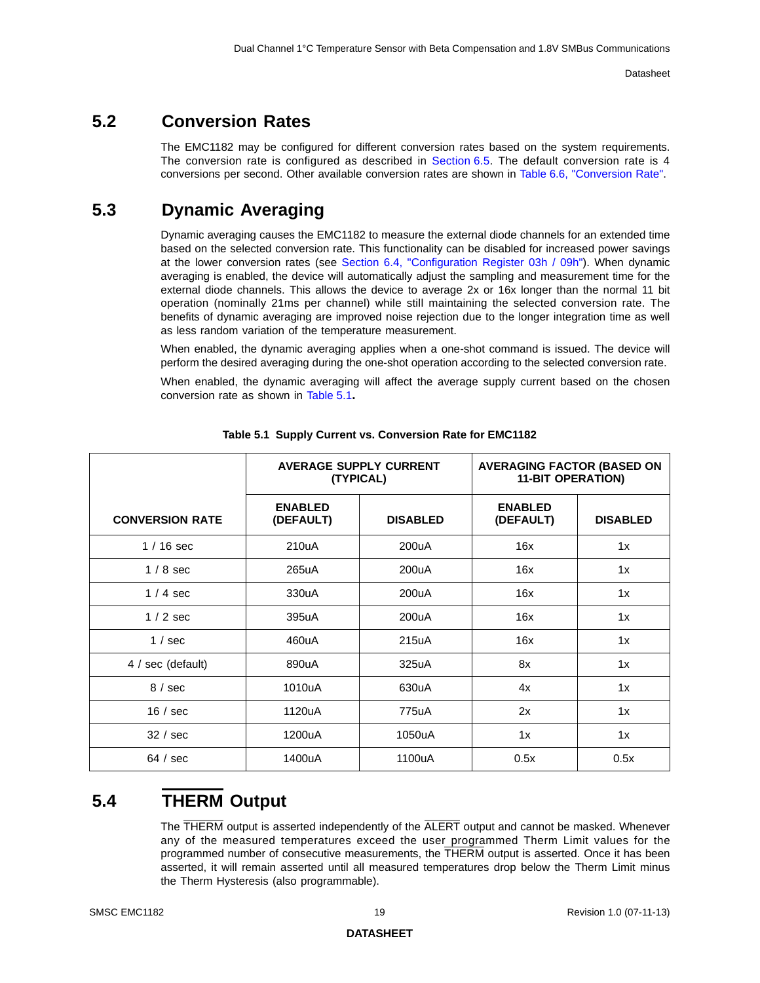## <span id="page-18-0"></span>**5.2 Conversion Rates**

The EMC1182 may be configured for different conversion rates based on the system requirements. The conversion rate is configured as described in [Section](#page-28-2) 6.5. The default conversion rate is 4 conversions per second. Other available conversion rates are shown in Table [6.6, "Conversion Rate".](#page-29-3)

## <span id="page-18-1"></span>**5.3 Dynamic Averaging**

Dynamic averaging causes the EMC1182 to measure the external diode channels for an extended time based on the selected conversion rate. This functionality can be disabled for increased power savings at the lower conversion rates (see [Section 6.4, "Configuration Register 03h / 09h"\)](#page-27-4). When dynamic averaging is enabled, the device will automatically adjust the sampling and measurement time for the external diode channels. This allows the device to average 2x or 16x longer than the normal 11 bit operation (nominally 21ms per channel) while still maintaining the selected conversion rate. The benefits of dynamic averaging are improved noise rejection due to the longer integration time as well as less random variation of the temperature measurement.

When enabled, the dynamic averaging applies when a one-shot command is issued. The device will perform the desired averaging during the one-shot operation according to the selected conversion rate.

When enabled, the dynamic averaging will affect the average supply current based on the chosen conversion rate as shown in [Table](#page-18-3) 5.1**.**

<span id="page-18-3"></span>

|                        |                             | <b>AVERAGE SUPPLY CURRENT</b><br>(TYPICAL) | <b>AVERAGING FACTOR (BASED ON</b><br><b>11-BIT OPERATION)</b> |                 |  |  |
|------------------------|-----------------------------|--------------------------------------------|---------------------------------------------------------------|-----------------|--|--|
| <b>CONVERSION RATE</b> | <b>ENABLED</b><br>(DEFAULT) | <b>DISABLED</b>                            | <b>ENABLED</b><br>(DEFAULT)                                   | <b>DISABLED</b> |  |  |
| $1/16$ sec             | 210uA                       | 200uA                                      | 16x                                                           | 1x              |  |  |
| $1/8$ sec              | 265uA                       | 200uA                                      | 16x                                                           | 1x              |  |  |
| $1/4$ sec              | 330uA                       | 200uA                                      | 16x                                                           | 1x              |  |  |
| $1/2$ sec              | 395uA                       | 200uA                                      | 16x                                                           | 1x              |  |  |
| 1 / sec                | 460uA                       | 215uA                                      | 16x                                                           | 1x              |  |  |
| 4 / sec (default)      | 890uA                       | 325uA                                      | 8x                                                            | 1x              |  |  |
| 8/sec                  | 1010uA                      | 630uA                                      | 4x                                                            | 1x              |  |  |
| 16/sec                 | 1120uA                      | 775uA                                      | 2x                                                            | 1x              |  |  |
| 32 / sec               | 1200uA                      | 1050uA                                     | 1x                                                            | 1x              |  |  |
| 64 / sec               | 1400uA                      | 1100uA                                     | 0.5x                                                          | 0.5x            |  |  |

**Table 5.1 Supply Current vs. Conversion Rate for EMC1182** 

## <span id="page-18-2"></span>**5.4 THERM Output**

<span id="page-18-4"></span>The THERM output is asserted independently of the ALERT output and cannot be masked. Whenever any of the measured temperatures exceed the user programmed Therm Limit values for the programmed number of consecutive measurements, the THERM output is asserted. Once it has been asserted, it will remain asserted until all measured temperatures drop below the Therm Limit minus the Therm Hysteresis (also programmable).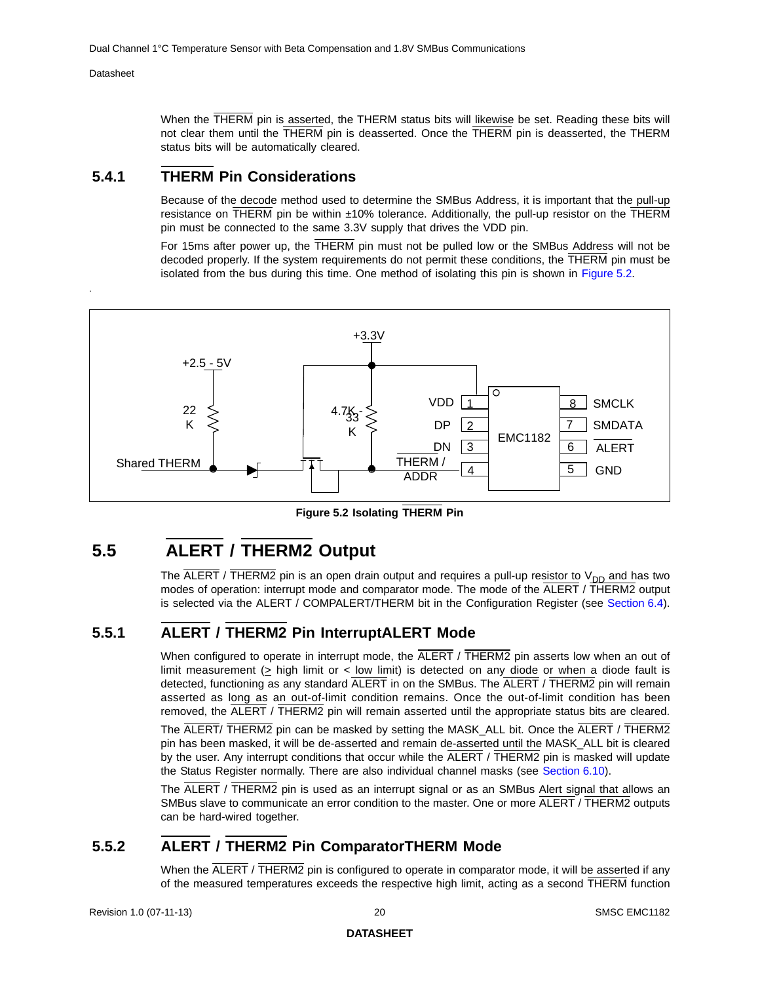.

When the THERM pin is asserted, the THERM status bits will likewise be set. Reading these bits will not clear them until the THERM pin is deasserted. Once the THERM pin is deasserted, the THERM status bits will be automatically cleared.

### <span id="page-19-0"></span>**5.4.1 THERM Pin Considerations**

Because of the decode method used to determine the SMBus Address, it is important that the pull-up resistance on THERM pin be within ±10% tolerance. Additionally, the pull-up resistor on the THERM pin must be connected to the same 3.3V supply that drives the VDD pin.

For 15ms after power up, the THERM pin must not be pulled low or the SMBus Address will not be decoded properly. If the system requirements do not permit these conditions, the THERM pin must be isolated from the bus during this time. One method of isolating this pin is shown in [Figure](#page-19-4) 5.2.



**Figure 5.2 Isolating THERM Pin**

# <span id="page-19-4"></span><span id="page-19-1"></span>**5.5 ALERT / THERM2 Output**

The  $\overline{ALERT}$  / THERM2 pin is an open drain output and requires a pull-up resistor to  $V_{DD}$  and has two modes of operation: interrupt mode and comparator mode. The mode of the ALERT / THERM2 output is selected via the ALERT / COMPALERT/THERM bit in the Configuration Register (see [Section](#page-27-4) 6.4).

### <span id="page-19-2"></span>**5.5.1 ALERT / THERM2 Pin InterruptALERT Mode**

<span id="page-19-5"></span>When configured to operate in interrupt mode, the  $\overline{ALERT}$  /  $\overline{THERM2}$  pin asserts low when an out of limit measurement ( $\geq$  high limit or < low limit) is detected on any diode or when a diode fault is detected, functioning as any standard ALERT in on the SMBus. The ALERT / THERM2 pin will remain asserted as long as an out-of-limit condition remains. Once the out-of-limit condition has been removed, the ALERT / THERM2 pin will remain asserted until the appropriate status bits are cleared.

The ALERT/ THERM2 pin can be masked by setting the MASK\_ALL bit. Once the ALERT / THERM2 pin has been masked, it will be de-asserted and remain de-asserted until the MASK\_ALL bit is cleared by the user. Any interrupt conditions that occur while the ALERT / THERM2 pin is masked will update the Status Register normally. There are also individual channel masks (see [Section](#page-31-4) 6.10).

The ALERT / THERM2 pin is used as an interrupt signal or as an SMBus Alert signal that allows an SMBus slave to communicate an error condition to the master. One or more ALERT / THERM2 outputs can be hard-wired together.

### <span id="page-19-3"></span>**5.5.2 ALERT / THERM2 Pin ComparatorTHERM Mode**

<span id="page-19-6"></span>When the ALERT / THERM2 pin is configured to operate in comparator mode, it will be asserted if any of the measured temperatures exceeds the respective high limit, acting as a second THERM function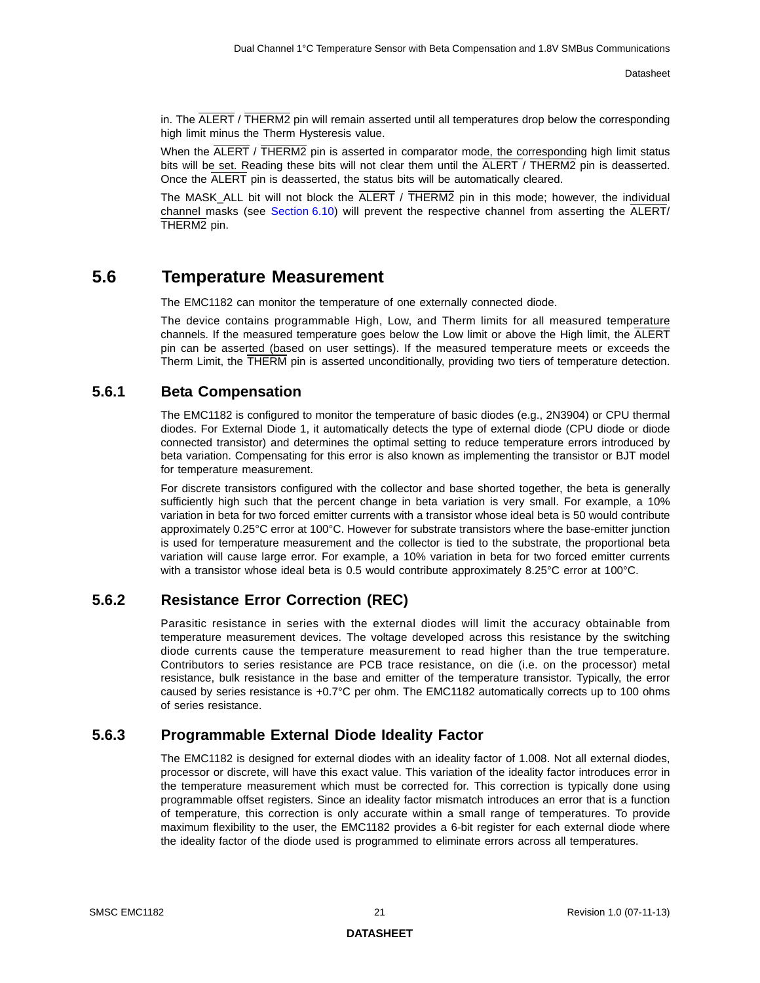in. The ALERT / THERM2 pin will remain asserted until all temperatures drop below the corresponding high limit minus the Therm Hysteresis value.

When the ALERT / THERM2 pin is asserted in comparator mode, the corresponding high limit status bits will be set. Reading these bits will not clear them until the ALERT / THERM2 pin is deasserted. Once the ALERT pin is deasserted, the status bits will be automatically cleared.

The MASK\_ALL bit will not block the  $\overline{ALERT}$  /  $\overline{THERM2}$  pin in this mode; however, the individual channel masks (see [Section](#page-31-4) 6.10) will prevent the respective channel from asserting the ALERT/ THERM2 pin.

### <span id="page-20-0"></span>**5.6 Temperature Measurement**

The EMC1182 can monitor the temperature of one externally connected diode.

The device contains programmable High, Low, and Therm limits for all measured temperature channels. If the measured temperature goes below the Low limit or above the High limit, the ALERT pin can be asserted (based on user settings). If the measured temperature meets or exceeds the Therm Limit, the THERM pin is asserted unconditionally, providing two tiers of temperature detection.

### <span id="page-20-1"></span>**5.6.1 Beta Compensation**

The EMC1182 is configured to monitor the temperature of basic diodes (e.g., 2N3904) or CPU thermal diodes. For External Diode 1, it automatically detects the type of external diode (CPU diode or diode connected transistor) and determines the optimal setting to reduce temperature errors introduced by beta variation. Compensating for this error is also known as implementing the transistor or BJT model for temperature measurement.

For discrete transistors configured with the collector and base shorted together, the beta is generally sufficiently high such that the percent change in beta variation is very small. For example, a 10% variation in beta for two forced emitter currents with a transistor whose ideal beta is 50 would contribute approximately 0.25°C error at 100°C. However for substrate transistors where the base-emitter junction is used for temperature measurement and the collector is tied to the substrate, the proportional beta variation will cause large error. For example, a 10% variation in beta for two forced emitter currents with a transistor whose ideal beta is 0.5 would contribute approximately 8.25°C error at 100°C.

### <span id="page-20-2"></span>**5.6.2 Resistance Error Correction (REC)**

Parasitic resistance in series with the external diodes will limit the accuracy obtainable from temperature measurement devices. The voltage developed across this resistance by the switching diode currents cause the temperature measurement to read higher than the true temperature. Contributors to series resistance are PCB trace resistance, on die (i.e. on the processor) metal resistance, bulk resistance in the base and emitter of the temperature transistor. Typically, the error caused by series resistance is +0.7°C per ohm. The EMC1182 automatically corrects up to 100 ohms of series resistance.

### <span id="page-20-3"></span>**5.6.3 Programmable External Diode Ideality Factor**

The EMC1182 is designed for external diodes with an ideality factor of 1.008. Not all external diodes, processor or discrete, will have this exact value. This variation of the ideality factor introduces error in the temperature measurement which must be corrected for. This correction is typically done using programmable offset registers. Since an ideality factor mismatch introduces an error that is a function of temperature, this correction is only accurate within a small range of temperatures. To provide maximum flexibility to the user, the EMC1182 provides a 6-bit register for each external diode where the ideality factor of the diode used is programmed to eliminate errors across all temperatures.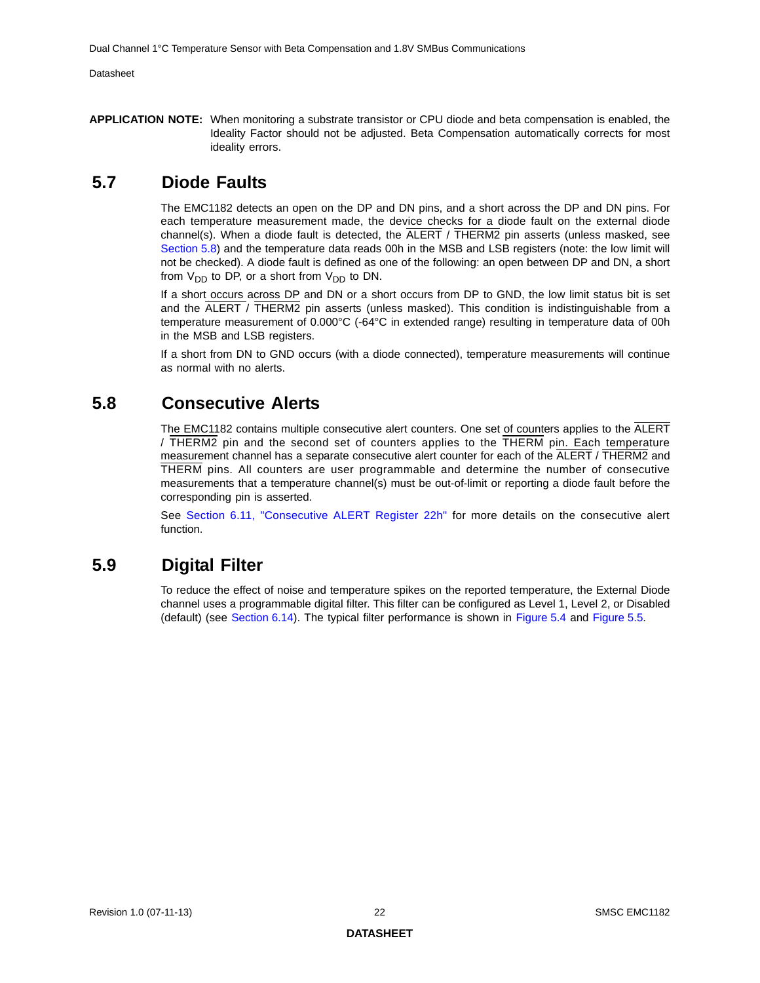**APPLICATION NOTE:** When monitoring a substrate transistor or CPU diode and beta compensation is enabled, the Ideality Factor should not be adjusted. Beta Compensation automatically corrects for most ideality errors.

### <span id="page-21-0"></span>**5.7 Diode Faults**

The EMC1182 detects an open on the DP and DN pins, and a short across the DP and DN pins. For each temperature measurement made, the device checks for a diode fault on the external diode channel(s). When a diode fault is detected, the  $\overline{ALERT}$  /  $\overline{THERM2}$  pin asserts (unless masked, see [Section](#page-21-1) 5.8) and the temperature data reads 00h in the MSB and LSB registers (note: the low limit will not be checked). A diode fault is defined as one of the following: an open between DP and DN, a short from  $V_{DD}$  to DP, or a short from  $V_{DD}$  to DN.

If a short occurs across DP and DN or a short occurs from DP to GND, the low limit status bit is set and the ALERT / THERM2 pin asserts (unless masked). This condition is indistinguishable from a temperature measurement of 0.000°C (-64°C in extended range) resulting in temperature data of 00h in the MSB and LSB registers.

If a short from DN to GND occurs (with a diode connected), temperature measurements will continue as normal with no alerts.

### <span id="page-21-1"></span>**5.8 Consecutive Alerts**

The EMC1182 contains multiple consecutive alert counters. One set of counters applies to the ALERT / THERM2 pin and the second set of counters applies to the THERM pin. Each temperature measurement channel has a separate consecutive alert counter for each of the ALERT / THERM2 and THERM pins. All counters are user programmable and determine the number of consecutive measurements that a temperature channel(s) must be out-of-limit or reporting a diode fault before the corresponding pin is asserted.

See [Section 6.11, "Consecutive ALERT Register 22h"](#page-32-2) for more details on the consecutive alert function.

### <span id="page-21-2"></span>**5.9 Digital Filter**

To reduce the effect of noise and temperature spikes on the reported temperature, the External Diode channel uses a programmable digital filter. This filter can be configured as Level 1, Level 2, or Disabled (default) (see [Section](#page-36-7) 6.14). The typical filter performance is shown in [Figure](#page-22-0) 5.4 and [Figure](#page-22-1) 5.5.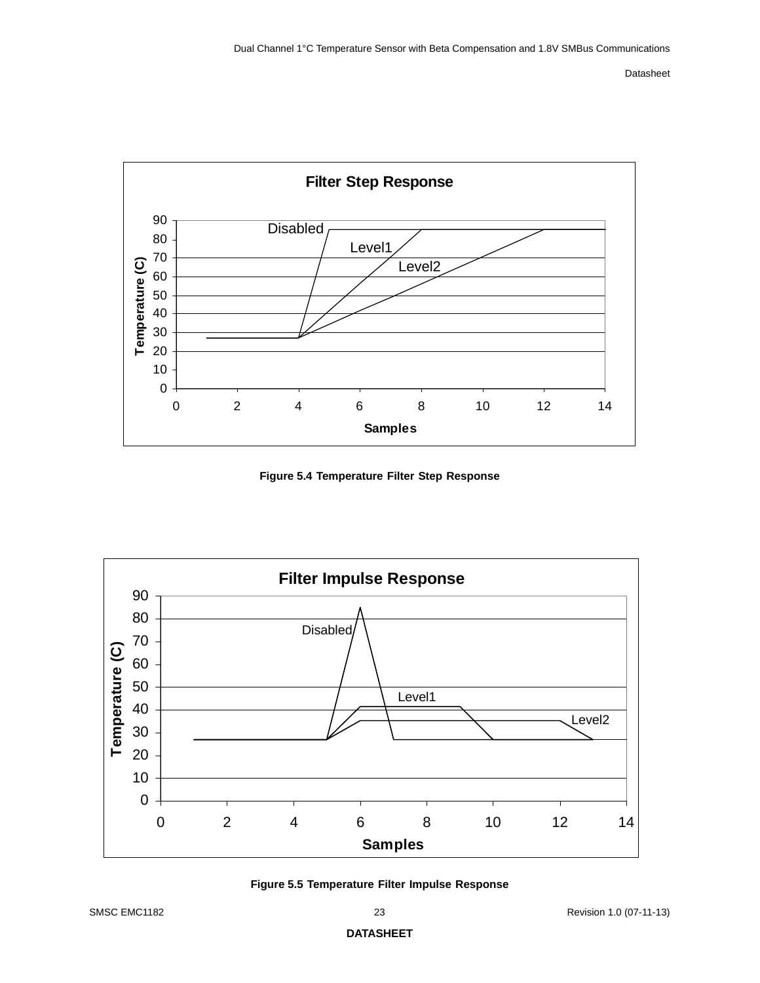

<span id="page-22-2"></span>**Figure 5.4 Temperature Filter Step Response**

<span id="page-22-0"></span>

<span id="page-22-3"></span><span id="page-22-1"></span>**Figure 5.5 Temperature Filter Impulse Response**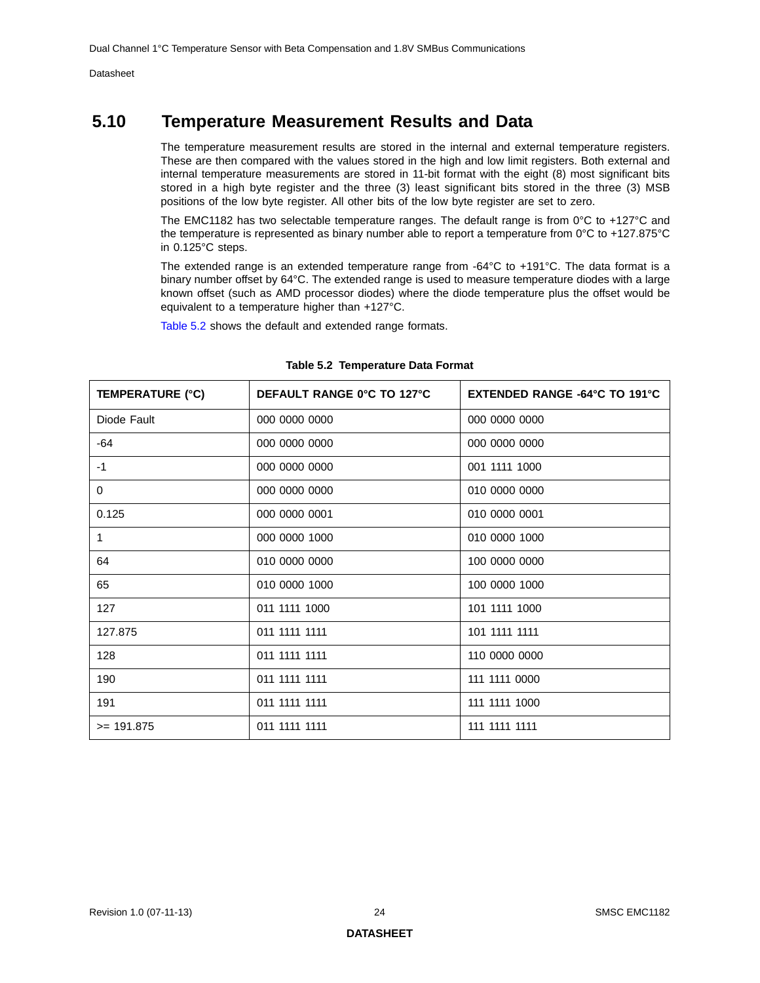# <span id="page-23-0"></span>**5.10 Temperature Measurement Results and Data**

The temperature measurement results are stored in the internal and external temperature registers. These are then compared with the values stored in the high and low limit registers. Both external and internal temperature measurements are stored in 11-bit format with the eight (8) most significant bits stored in a high byte register and the three (3) least significant bits stored in the three (3) MSB positions of the low byte register. All other bits of the low byte register are set to zero.

The EMC1182 has two selectable temperature ranges. The default range is from 0°C to +127°C and the temperature is represented as binary number able to report a temperature from 0°C to +127.875°C in 0.125°C steps.

The extended range is an extended temperature range from -64°C to +191°C. The data format is a binary number offset by 64°C. The extended range is used to measure temperature diodes with a large known offset (such as AMD processor diodes) where the diode temperature plus the offset would be equivalent to a temperature higher than +127°C.

[Table](#page-23-1) 5.2 shows the default and extended range formats.

<span id="page-23-1"></span>

| <b>TEMPERATURE (°C)</b> | DEFAULT RANGE 0°C TO 127°C | <b>EXTENDED RANGE -64°C TO 191°C</b> |
|-------------------------|----------------------------|--------------------------------------|
| Diode Fault             | 000 0000 0000              | 000 0000 0000                        |
| -64                     | 000 0000 0000              | 000 0000 0000                        |
| $-1$                    | 000 0000 0000              | 001 1111 1000                        |
| 0                       | 000 0000 0000              | 010 0000 0000                        |
| 0.125                   | 000 0000 0001              | 010 0000 0001                        |
| 1                       | 000 0000 1000              | 010 0000 1000                        |
| 64                      | 010 0000 0000              | 100 0000 0000                        |
| 65                      | 010 0000 1000              | 100 0000 1000                        |
| 127                     | 011 1111 1000              | 101 1111 1000                        |
| 127.875                 | 011 1111 1111              | 101 1111 1111                        |
| 128                     | 011 1111 1111              | 110 0000 0000                        |
| 190                     | 011 1111 1111              | 111 1111 0000                        |
| 191                     | 011 1111 1111              | 111 1111 1000                        |
| $>= 191.875$            | 011 1111 1111              | 111 1111 1111                        |

#### <span id="page-23-2"></span>**Table 5.2 Temperature Data Format**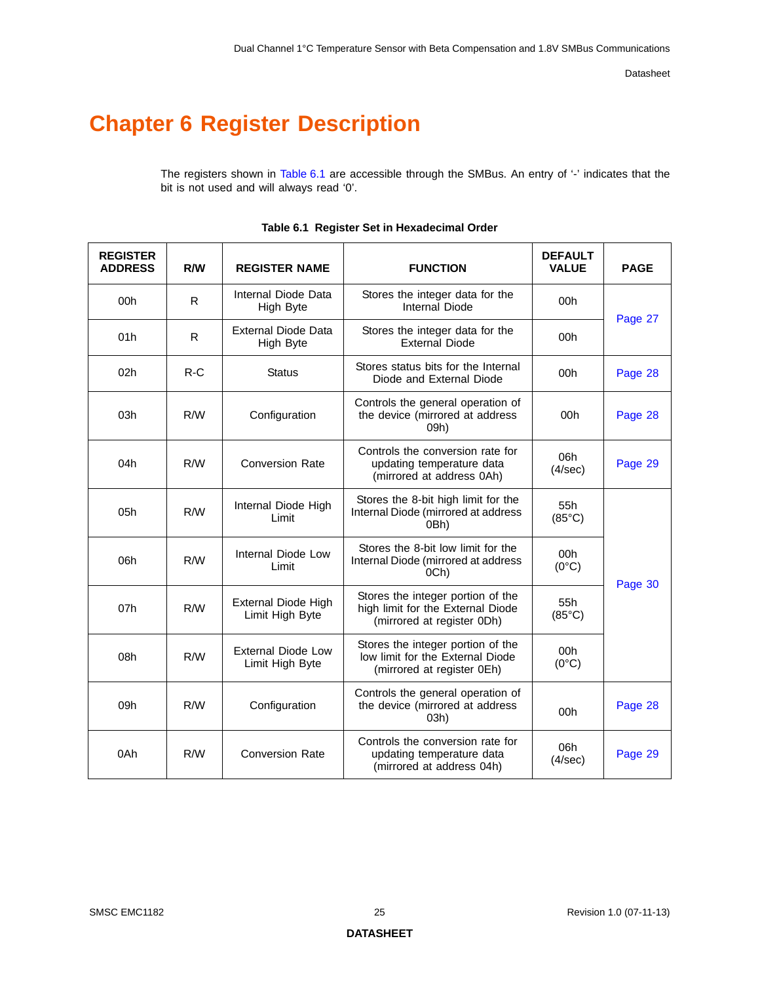# <span id="page-24-0"></span>**Chapter 6 Register Description**

The registers shown in [Table](#page-24-1) 6.1 are accessible through the SMBus. An entry of '-' indicates that the bit is not used and will always read '0'.

<span id="page-24-1"></span>

| <b>REGISTER</b><br><b>ADDRESS</b> | R/W   | <b>REGISTER NAME</b>                                                                                               | <b>FUNCTION</b>                                                                                      | <b>DEFAULT</b><br><b>VALUE</b> | <b>PAGE</b> |  |
|-----------------------------------|-------|--------------------------------------------------------------------------------------------------------------------|------------------------------------------------------------------------------------------------------|--------------------------------|-------------|--|
| 00h                               | R.    | Internal Diode Data<br>High Byte                                                                                   | Stores the integer data for the<br><b>Internal Diode</b>                                             | 00h                            |             |  |
| 01h                               | R.    | External Diode Data<br>High Byte                                                                                   | Stores the integer data for the<br><b>External Diode</b>                                             | 00h                            | Page 27     |  |
| 02h                               | $R-C$ | <b>Status</b>                                                                                                      | Stores status bits for the Internal<br>Diode and External Diode                                      | 00h                            | Page 28     |  |
| 03h                               | R/W   | Configuration                                                                                                      | Controls the general operation of<br>the device (mirrored at address<br>09h)                         | 00h                            | Page 28     |  |
| 04h                               | R/W   | <b>Conversion Rate</b>                                                                                             | Controls the conversion rate for<br>updating temperature data<br>(mirrored at address 0Ah)           |                                |             |  |
| 05h                               | R/W   | Stores the 8-bit high limit for the<br>Internal Diode High<br>Internal Diode (mirrored at address<br>Limit<br>0Bh) |                                                                                                      | 55h<br>$(85^{\circ}C)$         |             |  |
| 06h                               | R/W   | Internal Diode Low<br>Limit                                                                                        | Stores the 8-bit low limit for the<br>Internal Diode (mirrored at address<br>OCh)                    | 00h<br>$(0^{\circ}C)$          | Page 30     |  |
| 07h                               | R/W   | External Diode High<br>Limit High Byte                                                                             | Stores the integer portion of the<br>high limit for the External Diode<br>(mirrored at register 0Dh) | 55h<br>$(85^{\circ}C)$         |             |  |
| 08h                               | R/W   | <b>External Diode Low</b><br>Limit High Byte                                                                       | Stores the integer portion of the<br>low limit for the External Diode<br>(mirrored at register 0Eh)  | 00h<br>$(0^{\circ}C)$          |             |  |
| 09h                               | R/W   | Configuration                                                                                                      | Controls the general operation of<br>the device (mirrored at address<br>03h)                         |                                | Page 28     |  |
| 0Ah                               | R/W   | <b>Conversion Rate</b>                                                                                             | Controls the conversion rate for<br>updating temperature data<br>(mirrored at address 04h)           | 06h<br>(4/sec)                 | Page 29     |  |

#### **Table 6.1 Register Set in Hexadecimal Order**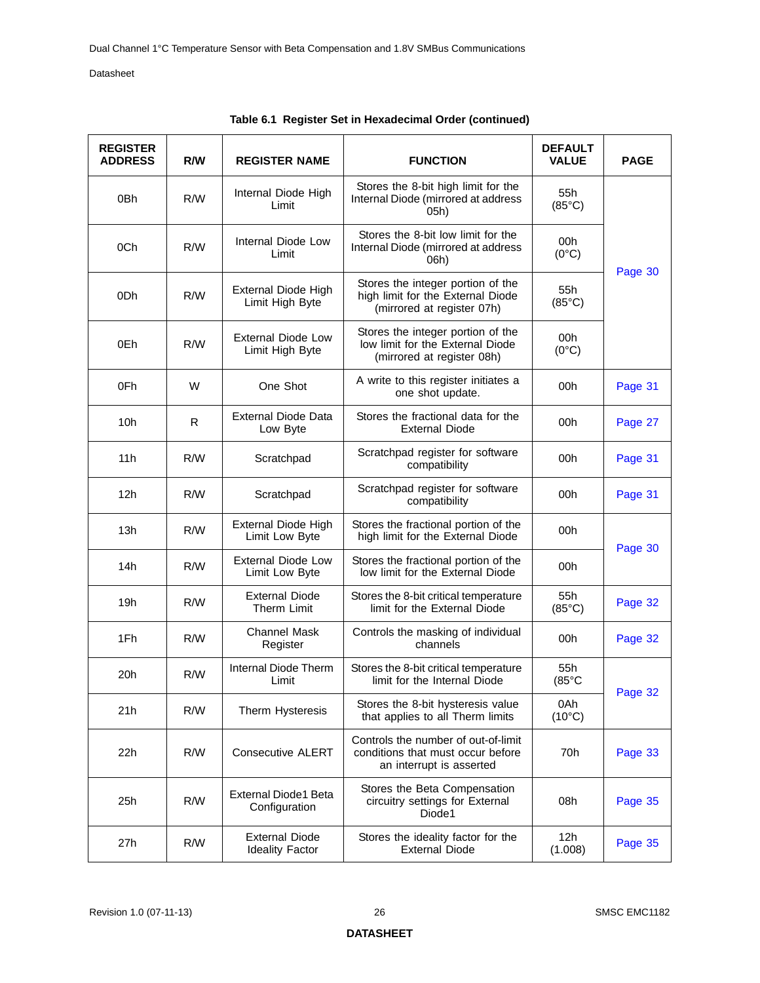| <b>REGISTER</b><br><b>ADDRESS</b> | R/W                                                                                                                                                 | <b>REGISTER NAME</b>                                            | <b>FUNCTION</b>                                                                                      | <b>DEFAULT</b><br><b>VALUE</b> | <b>PAGE</b> |  |
|-----------------------------------|-----------------------------------------------------------------------------------------------------------------------------------------------------|-----------------------------------------------------------------|------------------------------------------------------------------------------------------------------|--------------------------------|-------------|--|
| 0Bh                               | R/W                                                                                                                                                 | Internal Diode High<br>Limit                                    | Stores the 8-bit high limit for the<br>Internal Diode (mirrored at address<br>05h)                   | 55h<br>$(85^{\circ}C)$         |             |  |
| 0Ch                               | R/W                                                                                                                                                 | Internal Diode Low<br>Limit                                     | Stores the 8-bit low limit for the<br>Internal Diode (mirrored at address<br>06h)                    | 00h<br>$(0^{\circ}C)$          |             |  |
| 0Dh                               | R/W                                                                                                                                                 | External Diode High<br>Limit High Byte                          | Stores the integer portion of the<br>high limit for the External Diode<br>(mirrored at register 07h) | 55h<br>$(85^{\circ}C)$         | Page 30     |  |
| 0Eh                               | Stores the integer portion of the<br>External Diode Low<br>R/W<br>low limit for the External Diode<br>Limit High Byte<br>(mirrored at register 08h) |                                                                 | 00h<br>$(0^{\circ}C)$                                                                                |                                |             |  |
| 0Fh                               | W                                                                                                                                                   | One Shot                                                        | A write to this register initiates a<br>one shot update.                                             | 00h                            | Page 31     |  |
| 10h                               | R                                                                                                                                                   | <b>External Diode Data</b><br>Low Byte                          | Stores the fractional data for the<br><b>External Diode</b>                                          |                                |             |  |
| 11h                               | R/W                                                                                                                                                 | Scratchpad register for software<br>Scratchpad<br>compatibility |                                                                                                      | 00h                            | Page 31     |  |
| 12h                               | R/W                                                                                                                                                 | Scratchpad                                                      | Scratchpad register for software<br>compatibility                                                    | 00h                            | Page 31     |  |
| 13h                               | R/W                                                                                                                                                 | External Diode High<br>Limit Low Byte                           | Stores the fractional portion of the<br>high limit for the External Diode                            | 00h                            |             |  |
| 14h                               | R/W                                                                                                                                                 | <b>External Diode Low</b><br>Limit Low Byte                     | Stores the fractional portion of the<br>low limit for the External Diode                             | 00h                            | Page 30     |  |
| 19h                               | R/W                                                                                                                                                 | <b>External Diode</b><br>Therm Limit                            | Stores the 8-bit critical temperature<br>limit for the External Diode                                | 55h<br>$(85^{\circ}C)$         | Page 32     |  |
| 1Fh                               | R/W                                                                                                                                                 | <b>Channel Mask</b><br>Register                                 | Controls the masking of individual<br>channels                                                       | 00h                            | Page 32     |  |
| 20h                               | R/W                                                                                                                                                 | Internal Diode Therm<br>Limit                                   | Stores the 8-bit critical temperature<br>limit for the Internal Diode                                | 55h<br>$(85^{\circ}C)$         |             |  |
| 21h                               | R/W                                                                                                                                                 | Therm Hysteresis                                                | Stores the 8-bit hysteresis value<br>that applies to all Therm limits                                | 0Ah<br>$(10^{\circ}C)$         | Page 32     |  |
| 22h                               | R/W                                                                                                                                                 | <b>Consecutive ALERT</b>                                        | Controls the number of out-of-limit<br>conditions that must occur before<br>an interrupt is asserted | 70h                            | Page 33     |  |
| 25h                               | R/W                                                                                                                                                 | <b>External Diode1 Beta</b><br>Configuration                    | Stores the Beta Compensation<br>circuitry settings for External<br>Diode1                            | 08h                            | Page 35     |  |
| 27h                               | R/W                                                                                                                                                 | <b>External Diode</b><br><b>Ideality Factor</b>                 | Stores the ideality factor for the<br><b>External Diode</b>                                          | 12h<br>(1.008)                 | Page 35     |  |

|  |  |  | Table 6.1 Register Set in Hexadecimal Order (continued) |  |  |
|--|--|--|---------------------------------------------------------|--|--|
|--|--|--|---------------------------------------------------------|--|--|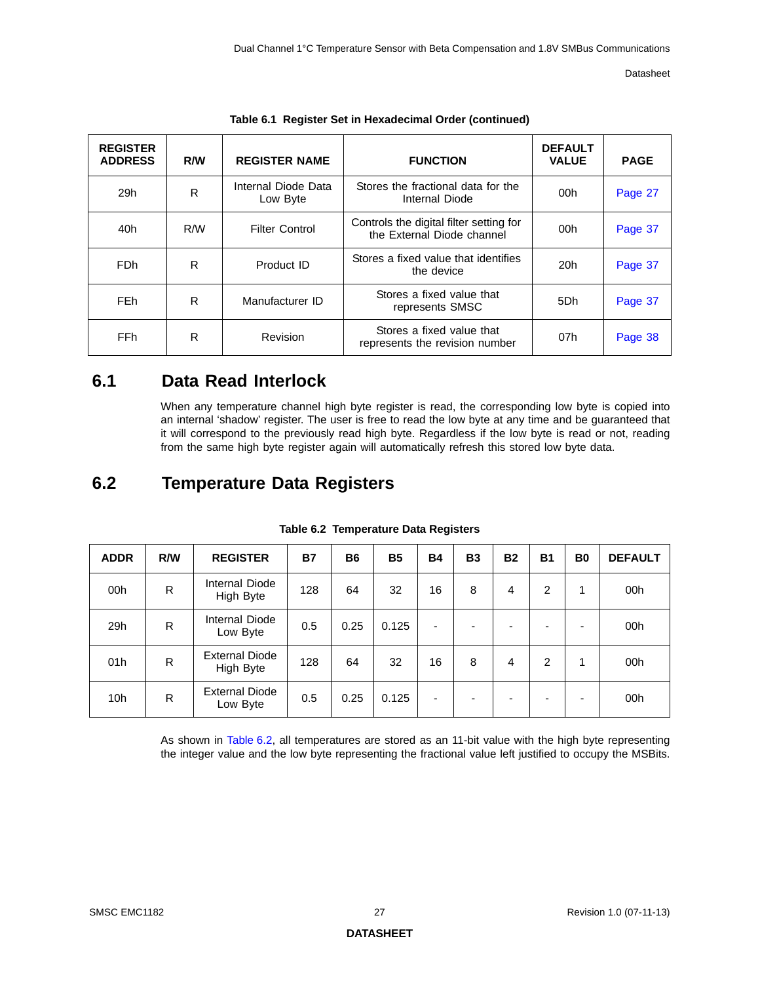| <b>REGISTER</b><br><b>ADDRESS</b> | R/W | <b>REGISTER NAME</b>            | <b>FUNCTION</b>                                                       | <b>DEFAULT</b><br><b>VALUE</b> | <b>PAGE</b> |
|-----------------------------------|-----|---------------------------------|-----------------------------------------------------------------------|--------------------------------|-------------|
| 29h                               | R   | Internal Diode Data<br>Low Byte | Stores the fractional data for the<br>Internal Diode                  | 00h                            | Page 27     |
| 40h                               | R/M | <b>Filter Control</b>           | Controls the digital filter setting for<br>the External Diode channel | 00h                            | Page 37     |
| FD <sub>h</sub>                   | R   | Product ID                      | Stores a fixed value that identifies<br>the device                    | 20h                            | Page 37     |
| FE <sub>h</sub>                   | R   | Manufacturer ID                 | Stores a fixed value that<br>represents SMSC                          | 5Dh                            | Page 37     |
| FF <sub>h</sub>                   | R   | Revision                        | Stores a fixed value that<br>represents the revision number           | 07h                            | Page 38     |

|  | Table 6.1 Register Set in Hexadecimal Order (continued) |  |  |
|--|---------------------------------------------------------|--|--|
|  |                                                         |  |  |

# <span id="page-26-0"></span>**6.1 Data Read Interlock**

When any temperature channel high byte register is read, the corresponding low byte is copied into an internal 'shadow' register. The user is free to read the low byte at any time and be guaranteed that it will correspond to the previously read high byte. Regardless if the low byte is read or not, reading from the same high byte register again will automatically refresh this stored low byte data.

# <span id="page-26-1"></span>**6.2 Temperature Data Registers**

<span id="page-26-2"></span>

| <b>ADDR</b>     | R/W | <b>REGISTER</b>                    | <b>B7</b> | <b>B6</b> | <b>B5</b> | <b>B4</b> | <b>B3</b>                | <b>B2</b> | <b>B1</b> | B <sub>0</sub>           | <b>DEFAULT</b> |
|-----------------|-----|------------------------------------|-----------|-----------|-----------|-----------|--------------------------|-----------|-----------|--------------------------|----------------|
| 00h             | R   | Internal Diode<br>High Byte        | 128       | 64        | 32        | 16        | 8                        | 4         | 2         | 1                        | 00h            |
| 29h             | R   | Internal Diode<br>Low Byte         | 0.5       | 0.25      | 0.125     | ٠         | $\overline{\phantom{0}}$ |           |           | $\overline{\phantom{0}}$ | 00h            |
| 01h             | R   | <b>External Diode</b><br>High Byte | 128       | 64        | 32        | 16        | 8                        | 4         | 2         | 1                        | 00h            |
| 10 <sub>h</sub> | R   | <b>External Diode</b><br>Low Byte  | 0.5       | 0.25      | 0.125     | ٠         | -                        |           |           | -                        | 00h            |

#### **Table 6.2 Temperature Data Registers**

As shown in [Table](#page-26-2) 6.2, all temperatures are stored as an 11-bit value with the high byte r[epresentin](#page-36-1)g the integer value and the low byte representing the fractional value left justified to occupy the MSBits.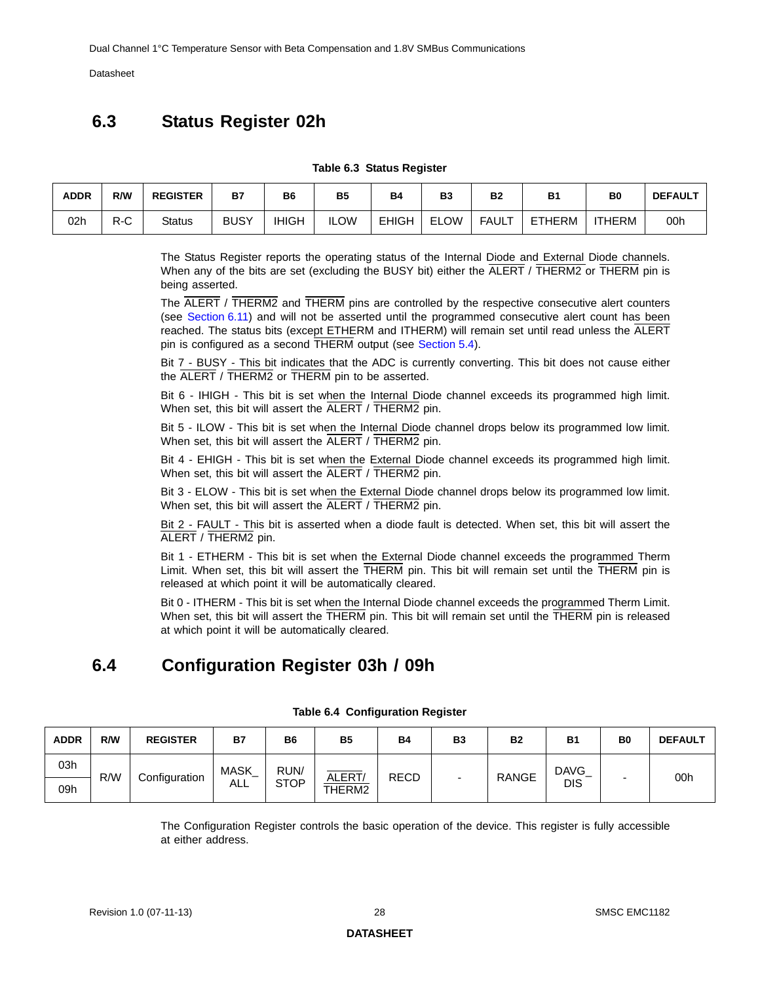## <span id="page-27-0"></span>**6.3 Status Register 02h**

#### **Table 6.3 Status Register**

<span id="page-27-2"></span>

| <b>ADDR</b> | R/W | <b>REGISTER</b> | <b>B7</b>   | B6           | <b>B5</b>   | <b>B4</b>    | B <sub>3</sub> | <b>B2</b> | <b>B1</b> | B <sub>0</sub> | <b>DEFAULT</b> |
|-------------|-----|-----------------|-------------|--------------|-------------|--------------|----------------|-----------|-----------|----------------|----------------|
| 02h         | R-C | <b>Status</b>   | <b>BUSY</b> | <b>IHIGH</b> | <b>ILOW</b> | <b>EHIGH</b> | <b>ELOW</b>    | FAULT     | ETHERM    | <b>ITHERM</b>  | 00h            |

The Status Register reports the operating status of the Internal Diode and External Diode channels. When any of the bits are set (excluding the BUSY bit) either the ALERT / THERM2 or TH[ERM pin](#page-36-1) is being asserted.

The ALERT / THERM2 and THERM pins are controlled by the respective consecutive ale[rt counte](#page-36-1)rs (see [Section](#page-32-0) 6.11) and will not be asserted until the programmed consecutive alert count has been reached. The status bits (except ETHERM and ITHERM) will remain set until read unless the ALERT pin is configured as a second THERM output (see [Section](#page-18-4) 5.4).

Bit 7 - BUSY - This bit indicates that the ADC is currently converting. This bit does not cause either the ALERT / THERM2 or THERM pin to be asserted.

Bit 6 - IHIGH - This bit is set when the Internal Diode channel exceeds its programmed high limit. When set, this bit will assert the ALERT / THERM2 pin.

Bit 5 - ILOW - This bit is set when the Internal Diode channel drops below its programmed low limit. When set, this bit will assert the ALERT / THERM2 pin.

Bit 4 - EHIGH - This bit is set when the External Diode channel exceeds its programmed high limit. When set, this bit will assert the ALERT / THERM2 pin.

Bit 3 - ELOW - This bit is set when the External Diode channel drops below its programmed low limit. When set, this bit will assert the ALERT / THERM2 pin.

Bit 2 - FAULT - This bit is asserted when a diode fault is detected. When set, this bit will assert the ALERT / THERM2 pin.

Bit 1 - ETHERM - This bit is set when the External Diode channel exceeds the programmed Therm Limit. When set, this bit will assert the THERM pin. This bit will remain set until the THERM pin is released at which point it will be automatically cleared.

<span id="page-27-4"></span>Bit 0 - ITHERM - This bit is set when the Internal Diode channel exceeds the programmed Therm Limit. When set, this bit will assert the THERM pin. This bit will remain set until the THERM pin is released at which point it will be automatically cleared.

# <span id="page-27-1"></span>**6.4 Configuration Register 03h / 09h**

<span id="page-27-3"></span>

| <b>ADDR</b> | R/W | <b>REGISTER</b> | <b>B7</b>   | <b>B6</b>   | <b>B5</b> | <b>B4</b>   | B <sub>3</sub>           | <b>B2</b>    | <b>B1</b>   | B <sub>0</sub> | <b>DEFAULT</b> |
|-------------|-----|-----------------|-------------|-------------|-----------|-------------|--------------------------|--------------|-------------|----------------|----------------|
| 03h         | R/W | Configuration   | <b>MASK</b> | RUN/        | ALERT/    | <b>RECD</b> |                          | <b>RANGE</b> | <b>DAVG</b> |                | 00h            |
| 09h         |     |                 | ALL         | <b>STOP</b> | THERM2    |             | $\overline{\phantom{0}}$ |              | <b>DIS</b>  |                |                |

#### **Table 6.4 Configuration Register**

The Configuration Register controls the basic operation of the device. This register is fully accessible at either address.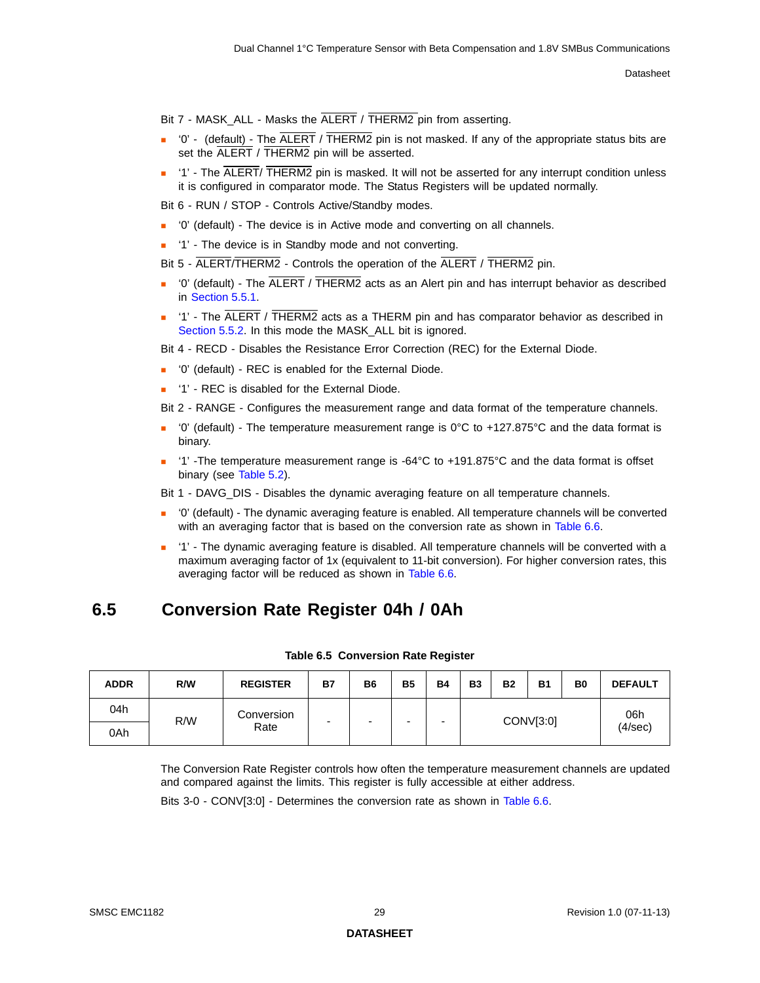Bit 7 - MASK\_ALL - Masks the ALERT / THERM2 pin from asserting.

- $\blacksquare$  '0' (default) The ALERT / THERM2 pin is not masked. If any of the appropriate status bits are set the ALERT / THERM2 pin will be asserted.
- $\blacksquare$  '1' The ALERT/ THERM2 pin is masked. It will not be asserted for any interrupt condition unless it is configured in comparator mode. The Status Registers will be updated normally.

Bit 6 - RUN / STOP - Controls Active/Standby modes.

- '0' (default) The device is in Active mode and converting on all channels.
- '1' The device is in Standby mode and not converting.

Bit 5 - ALERT/THERM2 - Controls the operation of the ALERT / THERM2 pin.

- '0' (default) The ALERT / THERM2 acts as an Alert pin and has interrupt behavior as described in [Section 5.5.1.](#page-19-5)
- '1' The ALERT / THERM2 acts as a THERM pin and has comparator behavior as described in [Section 5.5.2](#page-19-6). In this mode the MASK ALL bit is ignored.

Bit 4 - RECD - Disables the Resistance Error Correction (REC) for the External Diode.

- '0' (default) REC is enabled for the External Diode.
- '1' REC is disabled for the External Diode.

Bit 2 - RANGE - Configures the measurement range and data format of the temperature channels.

- '0' (default) The temperature measurement range is  $0^{\circ}$ C to +127.875°C and the data format is binary.
- '1' -The temperature measurement range is -64°C to +191.875°C and the data format is offset binary (see [Table 5.2\)](#page-23-2).

Bit 1 - DAVG\_DIS - Disables the dynamic averaging feature on all temperature channels.

- '0' (default) The dynamic averaging feature is enabled. All temperature channels will be converted with an averaging factor that is based on the conversion rate as shown in [Table 6.6.](#page-29-1)
- <span id="page-28-2"></span> '1' - The dynamic averaging feature is disabled. All temperature channels will be converted with a maximum averaging factor of 1x (equivalent to 11-bit conversion). For higher conversion rates, this averaging factor will be reduced as shown in [Table 6.6.](#page-29-1)

## <span id="page-28-0"></span>**6.5 Conversion Rate Register 04h / 0Ah**

<span id="page-28-1"></span>

| <b>ADDR</b> | R/W | <b>REGISTER</b> | <b>B7</b> | B6 | <b>B5</b> | <b>B4</b> | <b>B3</b> | <b>B2</b> | <b>B1</b> | B <sub>0</sub> | <b>DEFAULT</b> |
|-------------|-----|-----------------|-----------|----|-----------|-----------|-----------|-----------|-----------|----------------|----------------|
| 04h         | R/W | Conversion      |           | -  |           | -<br>-    | CONV[3:0] |           |           |                | 06h            |
| 0Ah         |     | Rate            |           |    |           |           |           |           |           |                | (4/sec)        |

#### **Table 6.5 Conversion Rate Register**

The Conversion Rate Register controls how often the temperature measurement channels are updated and compared against the limits. This register is fully accessible at either address.

Bits 3-0 - CONV[3:0] - Determines the conversion rate as shown in [Table](#page-29-1) 6.6.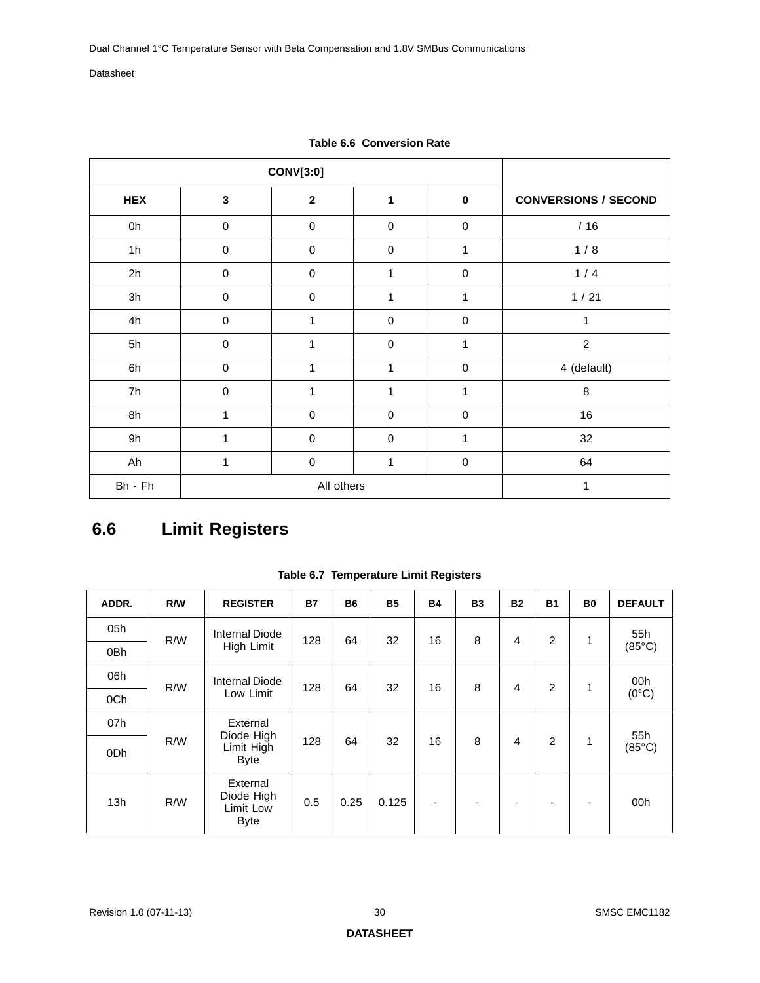<span id="page-29-1"></span>

|            |              | <b>CONV[3:0]</b> |                  |              |                             |
|------------|--------------|------------------|------------------|--------------|-----------------------------|
| <b>HEX</b> | $\mathbf{3}$ | $\mathbf{2}$     | 1                | $\pmb{0}$    | <b>CONVERSIONS / SECOND</b> |
| 0h         | $\mathbf 0$  | $\pmb{0}$        | $\mathbf 0$      | $\mathbf 0$  | /16                         |
| 1h         | $\pmb{0}$    | $\pmb{0}$        | $\pmb{0}$        | $\mathbf{1}$ | 1/8                         |
| 2h         | $\pmb{0}$    | $\boldsymbol{0}$ | 1                | $\mathbf 0$  | 1/4                         |
| 3h         | $\pmb{0}$    | $\boldsymbol{0}$ | 1                | $\mathbf{1}$ | 1/21                        |
| 4h         | 0            | 1                | $\boldsymbol{0}$ | $\mathbf 0$  | 1                           |
| 5h         | $\mathbf 0$  | 1                | $\mathbf 0$      | 1            | $\overline{2}$              |
| 6h         | $\mathbf 0$  | 1                | 1                | $\mathbf 0$  | 4 (default)                 |
| 7h         | $\mathbf 0$  | 1                | 1                | 1            | 8                           |
| 8h         | 1            | $\pmb{0}$        | $\mathbf 0$      | $\mathbf 0$  | 16                          |
| 9h         | 1            | $\pmb{0}$        | $\pmb{0}$        | 1            | 32                          |
| Ah         | 1            | $\boldsymbol{0}$ | $\mathbf{1}$     | $\mathbf 0$  | 64                          |
| Bh - Fh    |              | All others       | 1                |              |                             |

<span id="page-29-3"></span>**Table 6.6 Conversion Rate** 

# <span id="page-29-0"></span>**6.6 Limit Registers**

<span id="page-29-2"></span>

| ADDR.           | R/W | <b>REGISTER</b>                                    | <b>B7</b> | <b>B6</b> | <b>B5</b> | <b>B4</b>                | <b>B3</b> | <b>B2</b>      | <b>B1</b>      | <b>B0</b> | <b>DEFAULT</b>  |
|-----------------|-----|----------------------------------------------------|-----------|-----------|-----------|--------------------------|-----------|----------------|----------------|-----------|-----------------|
| 05h             | R/W | Internal Diode                                     | 128       | 64        | 32        | 16                       | 8         | 4              | 2              | 1         | 55h             |
| 0Bh             |     | High Limit                                         |           |           |           |                          |           |                |                |           | $(85^{\circ}C)$ |
| 06h             | R/W | <b>Internal Diode</b>                              | 128       | 64        | 32        | 16                       | 8         | 4              | $\overline{2}$ | 1         | 00h             |
| 0Ch             |     | Low Limit                                          |           |           |           |                          |           |                |                |           | $(0^{\circ}C)$  |
| 07h             |     | External<br>Diode High                             |           |           |           |                          |           |                |                |           | 55h             |
| 0 <sub>Dh</sub> | R/W | Limit High<br><b>Byte</b>                          | 128       | 64        | 32        | 16                       | 8         | $\overline{4}$ | $\overline{2}$ | 1         | $(85^{\circ}C)$ |
| 13h             | R/W | External<br>Diode High<br>Limit Low<br><b>Byte</b> | 0.5       | 0.25      | 0.125     | $\overline{\phantom{a}}$ |           |                |                |           | 00h             |

**Table 6.7 Temperature Limit Registers**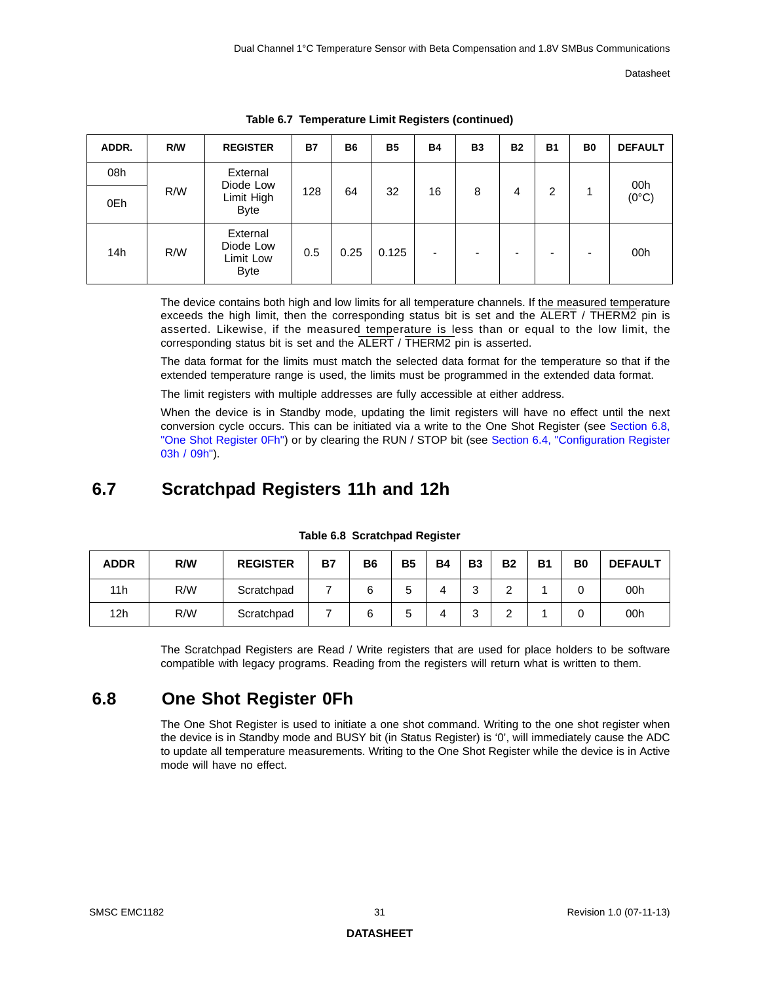| ADDR. | R/W | <b>REGISTER</b>                                   | <b>B7</b> | <b>B6</b> | <b>B5</b> | <b>B4</b> | <b>B3</b> | <b>B2</b> | <b>B1</b> | B <sub>0</sub> | <b>DEFAULT</b> |
|-------|-----|---------------------------------------------------|-----------|-----------|-----------|-----------|-----------|-----------|-----------|----------------|----------------|
| 08h   |     | External<br>Diode Low                             |           |           |           |           |           |           |           |                | 00h            |
| 0Eh   | R/W | Limit High<br><b>Byte</b>                         | 128       | 64        | 32        | 16        | 8         | 4         | 2         | 1              | $(0^{\circ}C)$ |
| 14h   | R/W | External<br>Diode Low<br>Limit Low<br><b>Byte</b> | 0.5       | 0.25      | 0.125     | ٠         |           | ۰         | -         | -              | 00h            |

**Table 6.7 Temperature Limit Registers (continued)** 

The device contains both high and low limits for all temperature channels. If the measured temperature exceeds the high limit, then the corresponding status bit is set and the ALERT / THERM2 pin is asserted. Likewise, if the measured temperature is less than or equal to the low limit, the corresponding status bit is set and the ALERT / THERM2 pin is asserted.

The data format for the limits must match the selected data format for the temperature so that if the extended temperature range is used, the limits must be programmed in the extended data format.

The limit registers with multiple addresses are fully accessible at either address.

When the device is in Standby mode, updating the limit registers will have no effect until the next conversion cycle occurs. This can be initiated via a write to the One Shot Register (see [Section 6.8,](#page-30-1)  ["One Shot Register 0Fh"](#page-30-1)) or by clearing the RUN / STOP bit (see [Section 6.4, "Configuration Register](#page-27-1)  [03h / 09h"\)](#page-27-1).

## <span id="page-30-0"></span>**6.7 Scratchpad Registers 11h and 12h**

<span id="page-30-2"></span>

| <b>ADDR</b> | R/W | <b>REGISTER</b> | <b>B7</b> | <b>B6</b> | <b>B5</b> | <b>B4</b> | <b>B3</b> | <b>B2</b> | <b>B1</b> | B0 | <b>DEFAULT</b> |
|-------------|-----|-----------------|-----------|-----------|-----------|-----------|-----------|-----------|-----------|----|----------------|
| 11h         | R/W | Scratchpad      |           | 6         |           |           | ົ<br>ບ    | ີ         |           |    | 00h            |
| 12h         | R/W | Scratchpad      |           |           |           |           | ົ<br>ບ    | ີ         |           |    | 00h            |

**Table 6.8 Scratchpad Register**

The Scratchpad Registers are Read / Write registers that are used for place holders to be software compatible with legacy programs. Reading from the registers will return what is written to them.

## <span id="page-30-1"></span>**6.8 One Shot Register 0Fh**

The One Shot Register is used to initiate a one shot command. Writing to the one shot register when the device is in Standby mode and BUSY bit (in Status Register) is '0', will immediately cause the ADC to update all temperature measurements. Writing to the One Shot Register while the device is in Active mode will have no effect.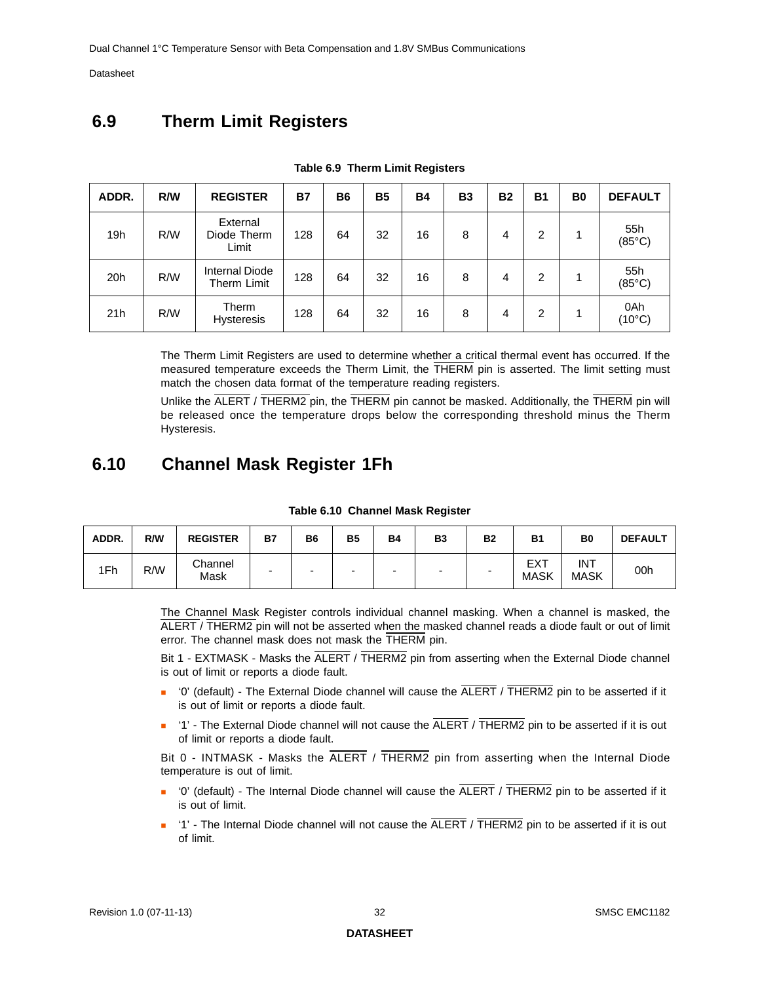# <span id="page-31-0"></span>**6.9 Therm Limit Registers**

<span id="page-31-2"></span>

| ADDR. | R/W | <b>REGISTER</b>                  | <b>B7</b> | <b>B6</b> | <b>B5</b> | <b>B4</b> | <b>B3</b> | <b>B2</b> | <b>B1</b> | B <sub>0</sub> | <b>DEFAULT</b>         |
|-------|-----|----------------------------------|-----------|-----------|-----------|-----------|-----------|-----------|-----------|----------------|------------------------|
| 19h   | R/W | External<br>Diode Therm<br>Limit | 128       | 64        | 32        | 16        | 8         | 4         | 2         | и              | 55h<br>$(85^{\circ}C)$ |
| 20h   | R/W | Internal Diode<br>Therm Limit    | 128       | 64        | 32        | 16        | 8         | 4         | 2         |                | 55h<br>$(85^{\circ}C)$ |
| 21h   | R/W | Therm<br><b>Hysteresis</b>       | 128       | 64        | 32        | 16        | 8         | 4         | 2         |                | 0Ah<br>$(10^{\circ}C)$ |

|  |  |  | Table 6.9 Therm Limit Registers |
|--|--|--|---------------------------------|
|--|--|--|---------------------------------|

The Therm Limit Registers are used to determine whether a critical thermal event has occurred. If the measured temperature exceeds the Therm Limit, the THERM pin is asserted. The limit setting must match the chosen data format of the temperature reading registers.

<span id="page-31-4"></span>Unlike the ALERT / THERM2 pin, the THERM pin cannot be masked. Additionally, the THERM pin will be released once the temperature drops below the corresponding threshold minus the Therm Hysteresis.

### <span id="page-31-1"></span>**6.10 Channel Mask Register 1Fh**

<span id="page-31-3"></span>

| ADDR. | R/W | <b>REGISTER</b> | <b>B7</b>                | <b>B6</b> | <b>B5</b> | <b>B4</b> | <b>B3</b> | <b>B2</b> | <b>B1</b>          | B <sub>0</sub>            | <b>DEFAULT</b> |
|-------|-----|-----------------|--------------------------|-----------|-----------|-----------|-----------|-----------|--------------------|---------------------------|----------------|
| 1Fh   | R/W | Channel<br>Mask | $\overline{\phantom{0}}$ |           | -         | -         |           | -         | EXT<br><b>MASK</b> | <b>INT</b><br><b>MASK</b> | 00h            |

#### **Table 6.10 Channel Mask Register**

The Channel Mask Register controls individual channel masking. When a channel is masked, the ALERT / THERM2 pin will not be asserted when the masked channel reads a diode fault or out of limit error. The channel mask does not mask the THERM pin.

Bit 1 - EXTMASK - Masks the ALERT / THERM2 pin from asserting when the External Diode channel is out of limit or reports a diode fault.

- '0' (default) The External Diode channel will cause the ALERT / THERM2 pin to be asserted if it is out of limit or reports a diode fault.
- $\blacksquare$  '1' The External Diode channel will not cause the  $\overline{ALERT}$  /  $\overline{THERM2}$  pin to be asserted if it is out of limit or reports a diode fault.

Bit 0 - INTMASK - Masks the ALERT / THERM2 pin from asserting when the Internal Diode temperature is out of limit.

- $\blacksquare$  '0' (default) The Internal Diode channel will cause the  $\overline{A \text{LERT}}$  /  $\overline{H \text{IERM2}}$  pin to be asserted if it is out of limit.
- '1' The Internal Diode channel will not cause the  $\overline{ALERT}$  / THERM2 pin to be asserted if it is out of limit.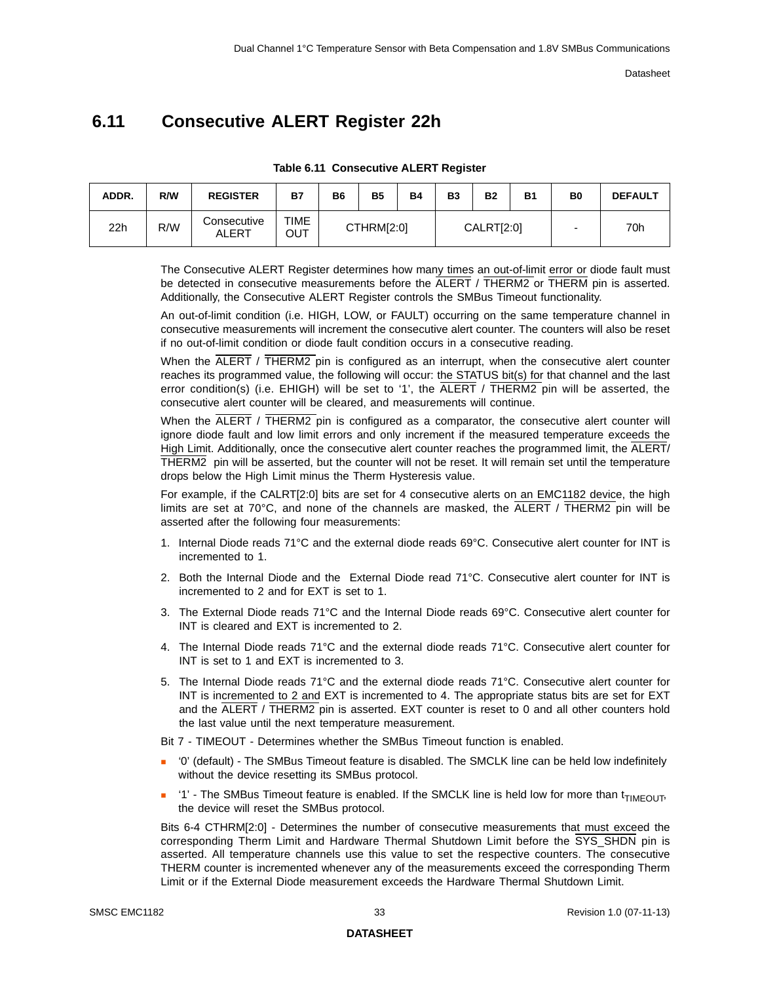# <span id="page-32-2"></span><span id="page-32-0"></span>**6.11 Consecutive ALERT Register 22h**

<span id="page-32-1"></span>

| ADDR. | R/W | <b>REGISTER</b>      | <b>B7</b>   | B6 | <b>B5</b>  | <b>B4</b> | <b>B3</b> | Β2                | <b>B1</b> | B <sub>0</sub> | <b>DEFAULT</b> |
|-------|-----|----------------------|-------------|----|------------|-----------|-----------|-------------------|-----------|----------------|----------------|
| 22h   | R/W | Consecutive<br>ALERT | TIME<br>Ουτ |    | CTHRM[2:0] |           |           | <b>CALRT[2:0]</b> |           |                | 70h            |

**Table 6.11 Consecutive ALERT Register**

The Consecutive ALERT Register determines how many times an out-of-limit error or diode fault must be detected in consecutive measurements before the ALERT / THERM2 or THERM pin is asserted. Additionally, the Consecutive ALERT Register controls the SMBus Timeout functionality.

An out-of-limit condition (i.e. HIGH, LOW, or FAULT) occurring on the same temperature channel in consecutive measurements will increment the consecutive alert counter. The counters will also be reset if no out-of-limit condition or diode fault condition occurs in a consecutive reading.

When the ALERT / THERM2 pin is configured as an interrupt, when the consecutive alert counter reaches its programmed value, the following will occur: the STATUS bit(s) for that channel and the last error condition(s) (i.e. EHIGH) will be set to '1', the ALERT / THERM2 pin will be asserted, the consecutive alert counter will be cleared, and measurements will continue.

When the ALERT / THERM2 pin is configured as a comparator, the consecutive alert counter will ignore diode fault and low limit errors and only increment if the measured temperature exceeds the High Limit. Additionally, once the consecutive alert counter reaches the programmed limit, the ALERT/ THERM2 pin will be asserted, but the counter will not be reset. It will remain set until the temperature drops below the High Limit minus the Therm Hysteresis value.

For example, if the CALRT[2:0] bits are set for 4 consecutive alerts on an EMC1182 device, the high limits are set at 70 $\degree$ C, and none of the channels are masked, the  $\overline{ALERT}$  / THERM2 pin will be asserted after the following four measurements:

- 1. Internal Diode reads 71°C and the external diode reads 69°C. Consecutive alert counter for INT is incremented to 1.
- 2. Both the Internal Diode and the External Diode read 71°C. Consecutive alert counter for INT is incremented to 2 and for EXT is set to 1.
- 3. The External Diode reads 71°C and the Internal Diode reads 69°C. Consecutive alert counter for INT is cleared and EXT is incremented to 2.
- 4. The Internal Diode reads 71°C and the external diode reads 71°C. Consecutive alert counter for INT is set to 1 and EXT is incremented to 3.
- 5. The Internal Diode reads 71°C and the external diode reads 71°C. Consecutive alert counter for INT is incremented to 2 and EXT is incremented to 4. The appropriate status bits are set for EXT and the ALERT / THERM2 pin is asserted. EXT counter is reset to 0 and all other counters hold the last value until the next temperature measurement.

Bit 7 - TIMEOUT - Determines whether the SMBus Timeout function is enabled.

- '0' (default) The SMBus Timeout feature is disabled. The SMCLK line can be held low indefinitely without the device resetting its SMBus protocol.
- $\blacksquare$  '1' The SMBus Timeout feature is enabled. If the SMCLK line is held low for more than  $t_{\text{TIMFOLIT}}$ the device will reset the SMBus protocol.

Bits 6-4 CTHRM[2:0] - Determines the number of consecutive measurements that must exceed the corresponding Therm Limit and Hardware Thermal Shutdown Limit before the SYS\_SHDN pin is asserted. All temperature channels use this value to set the respective counters. The consecutive THERM counter is incremented whenever any of the measurements exceed the corresponding Therm Limit or if the External Diode measurement exceeds the Hardware Thermal Shutdown Limit.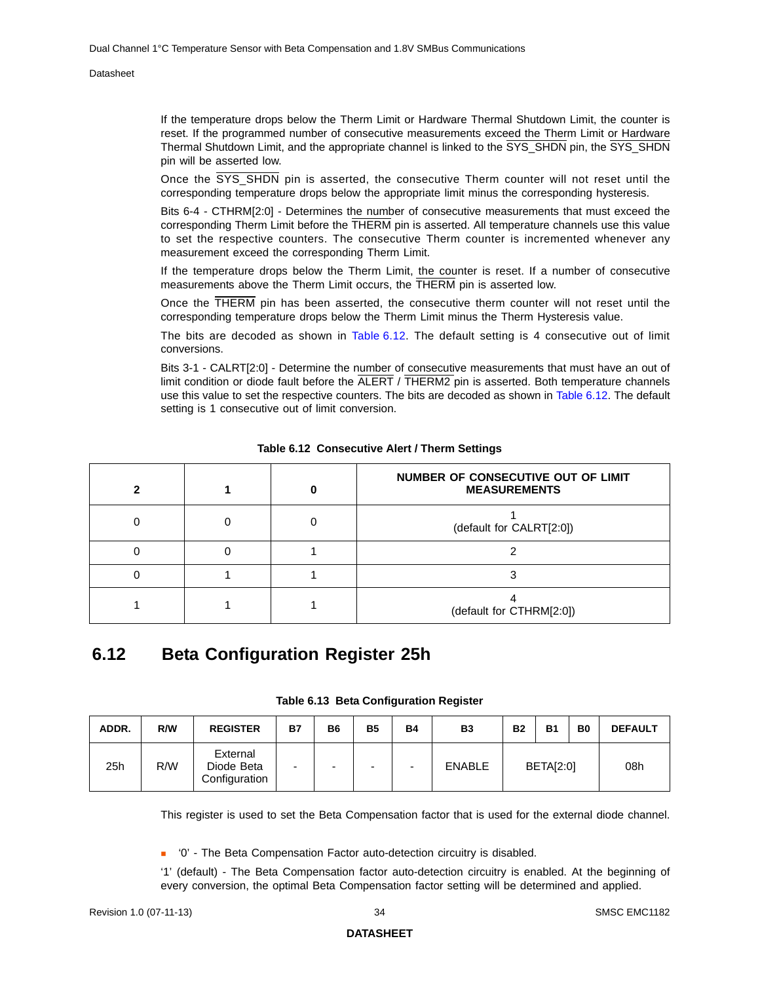If the temperature drops below the Therm Limit or Hardware Thermal Shutdown Limit, the counter is reset. If the programmed number of consecutive measurements exceed the Therm Limit or Hardware Thermal Shutdown Limit, and the appropriate channel is linked to the SYS\_SHDN pin, the SYS\_SHDN pin will be asserted low.

Once the SYS\_SHDN pin is asserted, the consecutive Therm counter will not reset until the corresponding temperature drops below the appropriate limit minus the corresponding hysteresis.

Bits 6-4 - CTHRM[2:0] - Determines the number of consecutive measurements that must exceed the corresponding Therm Limit before the THERM pin is asserted. All temperature channels use this value to set the respective counters. The consecutive Therm counter is incremented whenever any measurement exceed the corresponding Therm Limit.

If the temperature drops below the Therm Limit, the counter is reset. If a number of consecutive measurements above the Therm Limit occurs, the THERM pin is asserted low.

Once the THERM pin has been asserted, the consecutive therm counter will not reset until the corresponding temperature drops below the Therm Limit minus the Therm Hysteresis value.

The bits are decoded as shown in [Table](#page-33-1) 6.12. The default setting is 4 consecutive out of limit conversions.

Bits 3-1 - CALRT[2:0] - Determine the number of consecutive measurements that must have an out of limit condition or diode fault before the ALERT / THERM2 pin is asserted. Both temperature channels use this value to set the respective counters. The bits are decoded as shown in [Table](#page-33-1) 6.12. The default setting is 1 consecutive out of limit conversion.

<span id="page-33-1"></span>

|  | NUMBER OF CONSECUTIVE OUT OF LIMIT<br><b>MEASUREMENTS</b> |
|--|-----------------------------------------------------------|
|  | (default for CALRT[2:0])                                  |
|  |                                                           |
|  |                                                           |
|  | (default for CTHRM[2:0])                                  |

**Table 6.12 Consecutive Alert / Therm Settings**

### <span id="page-33-0"></span>**6.12 Beta Configuration Register 25h**

| Table 6.13 Beta Configuration Register |  |
|----------------------------------------|--|
|----------------------------------------|--|

<span id="page-33-2"></span>

| ADDR. | R/W | <b>REGISTER</b>                         | Β7 | <b>B6</b>                | <b>B5</b>                | <b>B4</b>                | <b>B3</b>     | <b>B2</b> | Β1               | B <sub>0</sub> | <b>DEFAULT</b> |
|-------|-----|-----------------------------------------|----|--------------------------|--------------------------|--------------------------|---------------|-----------|------------------|----------------|----------------|
| 25h   | R/W | External<br>Diode Beta<br>Configuration | -  | $\overline{\phantom{0}}$ | $\overline{\phantom{0}}$ | $\overline{\phantom{0}}$ | <b>ENABLE</b> |           | <b>BETA[2:0]</b> |                | 08h            |

This register is used to set the Beta Compensation factor that is used for the external diode channel.

■ '0' - The Beta Compensation Factor auto-detection circuitry is disabled.

'1' (default) - The Beta Compensation factor auto-detection circuitry is enabled. At the beginning of every conversion, the optimal Beta Compensation factor setting will be determined and applied.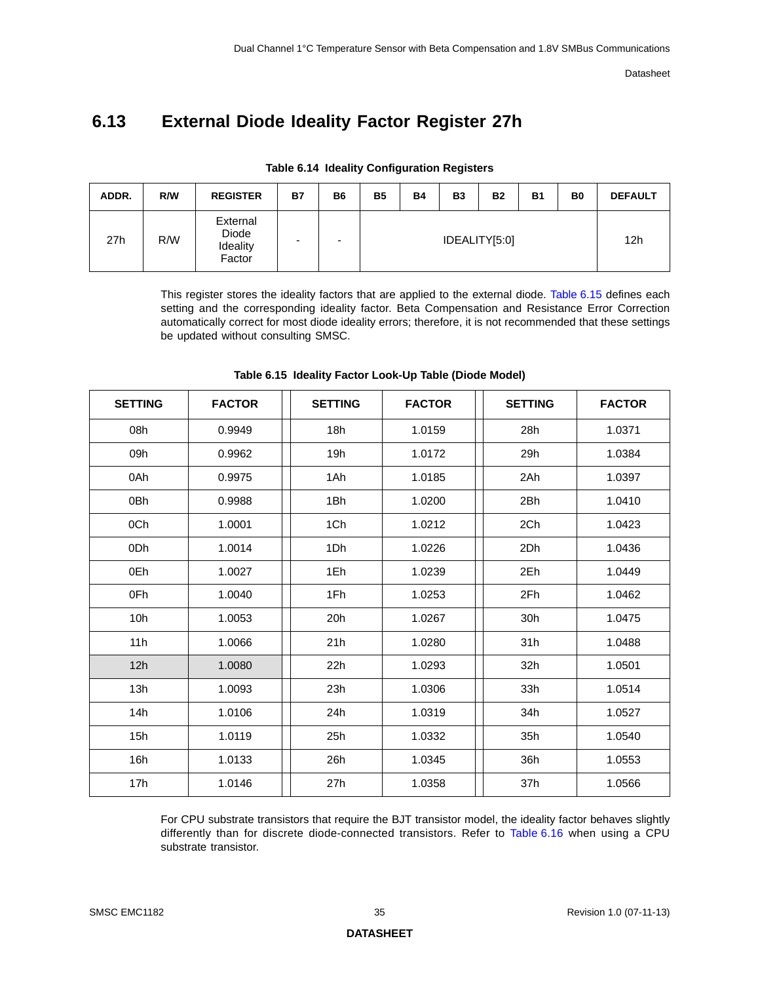# <span id="page-34-0"></span>**6.13 External Diode Ideality Factor Register 27h**

<span id="page-34-1"></span>

| ADDR. | R/W | <b>REGISTER</b>                         | <b>B7</b> | <b>B6</b>                | <b>B5</b> | <b>B4</b> | <b>B3</b> | <b>B2</b>     | <b>B1</b> | B <sub>0</sub> | <b>DEFAULT</b> |
|-------|-----|-----------------------------------------|-----------|--------------------------|-----------|-----------|-----------|---------------|-----------|----------------|----------------|
| 27h   | R/W | External<br>Diode<br>Ideality<br>Factor | -         | $\overline{\phantom{0}}$ |           |           |           | IDEALITY[5:0] |           |                | 12h            |

**Table 6.14 Ideality Configuration Registers**

This register stores the ideality factors that are applied to the external diode. [Table](#page-34-2) 6.15 defines each setting and the corresponding ideality factor. Beta Compensation and Resistance Error Correction automatically correct for most diode ideality errors; therefore, it is not recommended that these settings be updated without consulting SMSC.

<span id="page-34-2"></span>

| <b>SETTING</b>  | <b>FACTOR</b> | <b>SETTING</b> | <b>FACTOR</b> | <b>SETTING</b> | <b>FACTOR</b> |
|-----------------|---------------|----------------|---------------|----------------|---------------|
| 08h             | 0.9949        | 18h            | 1.0159        | 28h            | 1.0371        |
| 09h             | 0.9962        | 19h            | 1.0172        | 29h            | 1.0384        |
| 0Ah             | 0.9975        | 1Ah            | 1.0185        | 2Ah            | 1.0397        |
| 0Bh             | 0.9988        | 1Bh            | 1.0200        | 2Bh            | 1.0410        |
| 0Ch             | 1.0001        | 1Ch            | 1.0212        | 2Ch            | 1.0423        |
| 0Dh             | 1.0014        | 1Dh            | 1.0226        | 2Dh            | 1.0436        |
| 0Eh             | 1.0027        | 1Eh            | 1.0239        | 2Eh            | 1.0449        |
| 0Fh             | 1.0040        | 1Fh            | 1.0253        | 2Fh            | 1.0462        |
| 10 <sub>h</sub> | 1.0053        | 20h            | 1.0267        | 30h            | 1.0475        |
| 11h             | 1.0066        | 21h            | 1.0280        | 31h            | 1.0488        |
| 12h             | 1.0080        | 22h            | 1.0293        | 32h            | 1.0501        |
| 13h             | 1.0093        | 23h            | 1.0306        | 33h            | 1.0514        |
| 14h             | 1.0106        | 24h            | 1.0319        | 34h            | 1.0527        |
| 15h             | 1.0119        | 25h            | 1.0332        | 35h            | 1.0540        |
| 16h             | 1.0133        | 26h            | 1.0345        | 36h            | 1.0553        |
| 17h             | 1.0146        | 27h            | 1.0358        | 37h            | 1.0566        |

**Table 6.15 Ideality Factor Look-Up Table (Diode Model)** 

For CPU substrate transistors that require the BJT transistor model, the ideality factor behaves slightly differently than for discrete diode-connected transistors. Refer to [Table](#page-35-0) 6.16 when using a CPU substrate transistor.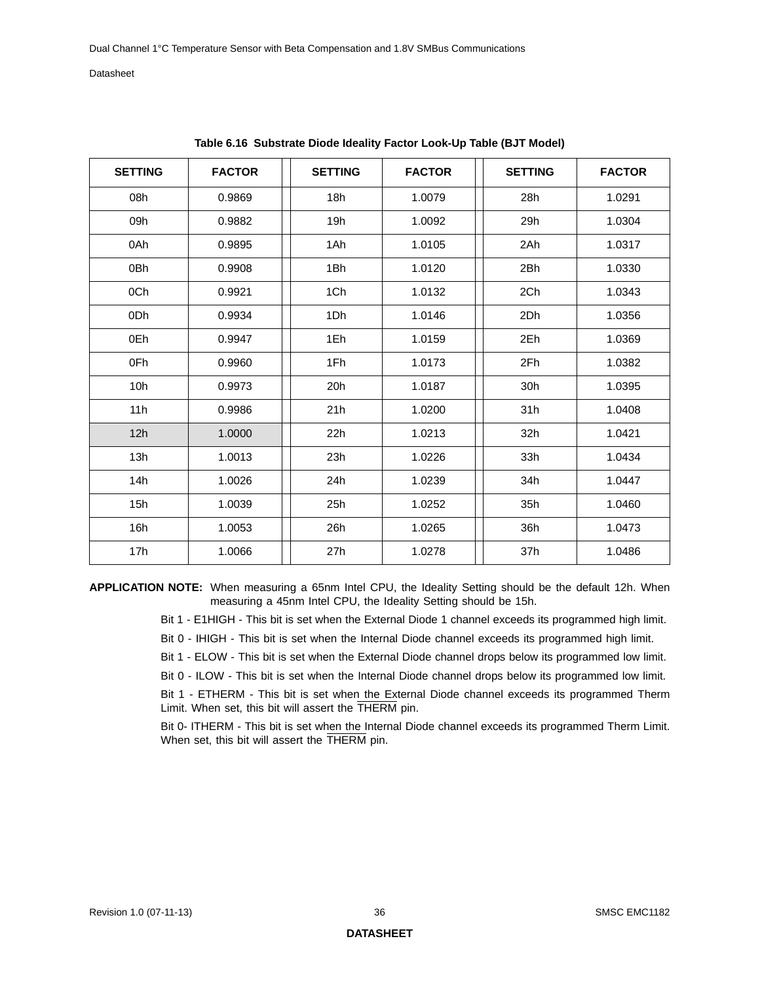<span id="page-35-0"></span>

| <b>SETTING</b> | <b>FACTOR</b> | <b>SETTING</b> | <b>FACTOR</b> | <b>SETTING</b> | <b>FACTOR</b> |
|----------------|---------------|----------------|---------------|----------------|---------------|
| 08h            | 0.9869        | 18h            | 1.0079        | 28h            | 1.0291        |
| 09h            | 0.9882        | 19h            | 1.0092        | 29h            | 1.0304        |
| 0Ah            | 0.9895        | 1Ah            | 1.0105        | 2Ah            | 1.0317        |
| 0Bh            | 0.9908        | 1Bh            | 1.0120        | 2Bh            | 1.0330        |
| 0Ch            | 0.9921        | 1Ch            | 1.0132        | 2Ch            | 1.0343        |
| 0Dh            | 0.9934        | 1Dh            | 1.0146        | 2Dh            | 1.0356        |
| 0Eh            | 0.9947        | 1Eh            | 1.0159        | 2Eh            | 1.0369        |
| 0Fh            | 0.9960        | 1Fh            | 1.0173        | 2Fh            | 1.0382        |
| 10h            | 0.9973        | 20h            | 1.0187        | 30h            | 1.0395        |
| 11h            | 0.9986        | 21h            | 1.0200        | 31h            | 1.0408        |
| 12h            | 1.0000        | 22h            | 1.0213        | 32h            | 1.0421        |
| 13h            | 1.0013        | 23h            | 1.0226        | 33h            | 1.0434        |
| 14h            | 1.0026        | 24h            | 1.0239        | 34h            | 1.0447        |
| 15h            | 1.0039        | 25h            | 1.0252        | 35h            | 1.0460        |
| 16h            | 1.0053        | 26h            | 1.0265        | 36h            | 1.0473        |
| 17h            | 1.0066        | 27h            | 1.0278        | 37h            | 1.0486        |

**Table 6.16 Substrate Diode Ideality Factor Look-Up Table (BJT Model)** 

**APPLICATION NOTE:** When measuring a 65nm Intel CPU, the Ideality Setting should be the default 12h. When measuring a 45nm Intel CPU, the Ideality Setting should be 15h.

Bit 1 - E1HIGH - This bit is set when the External Diode 1 channel exceeds its programmed high limit.

Bit 0 - IHIGH - This bit is set when the Internal Diode channel exceeds its programmed high limit.

Bit 1 - ELOW - This bit is set when the External Diode channel drops below its programmed low limit.

Bit 0 - ILOW - This bit is set when the Internal Diode channel drops below its programmed low limit.

Bit 1 - ETHERM - This bit is set when the External Diode channel exceeds its programmed Therm Limit. When set, this bit will assert the THERM pin.

Bit 0- ITHERM - This bit is set when the Internal Diode channel exceeds its programmed Therm Limit. When set, this bit will assert the THERM pin.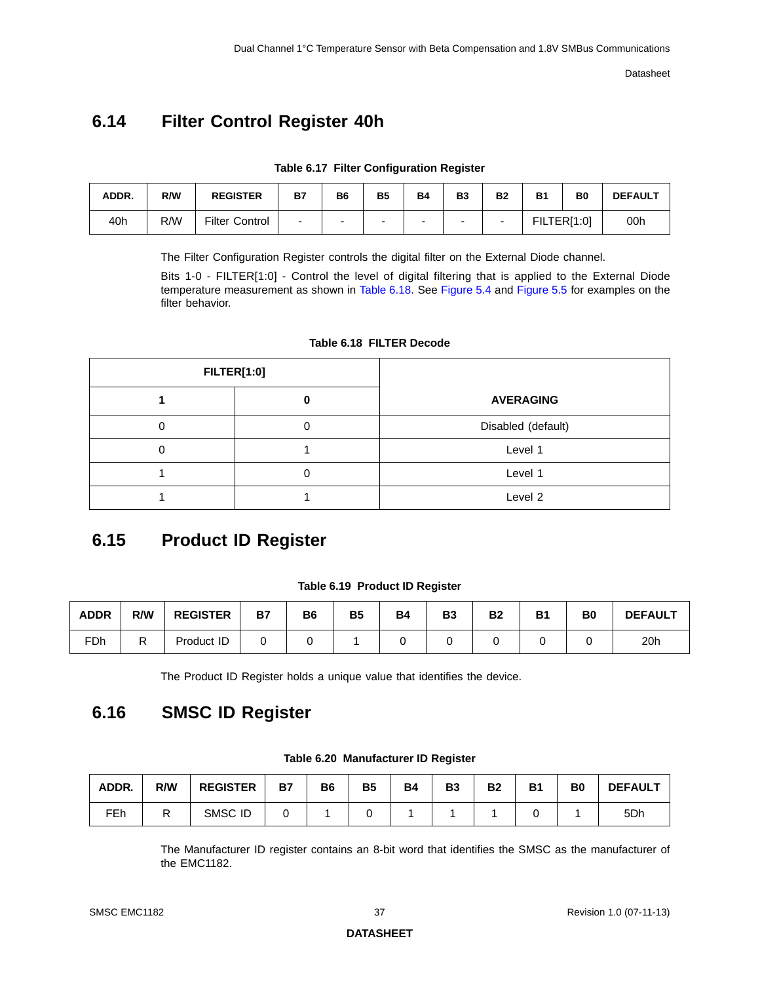# <span id="page-36-7"></span><span id="page-36-0"></span>**6.14 Filter Control Register 40h**

|  | Table 6.17 Filter Configuration Register |  |
|--|------------------------------------------|--|
|  |                                          |  |

<span id="page-36-3"></span>

| ADDR. | R/W | <b>REGISTER</b>       | <b>B7</b> | B6                       | <b>B5</b>                | <b>B4</b> | <b>B3</b> | <b>B2</b> | <b>B1</b>   | B <sub>0</sub> | <b>DEFAULT</b> |
|-------|-----|-----------------------|-----------|--------------------------|--------------------------|-----------|-----------|-----------|-------------|----------------|----------------|
| 40h   | R/W | <b>Filter Control</b> | -         | $\overline{\phantom{0}}$ | $\overline{\phantom{a}}$ | -         | $\sim$    |           | FILTER[1:0] |                | 00h            |

The Filter Configuration Register controls the digital filter on the External Diode channel.

Bits 1-0 - FILTER[1:0] - Control the level of digital filtering that is applied to the External Diode temperature measurement as shown in [Table](#page-36-4) 6.18. See [Figure](#page-22-2) 5.4 and [Figure](#page-22-3) 5.5 for examples on the filter behavior.

<span id="page-36-4"></span>

| <b>FILTER[1:0]</b> |                    |  |  |  |
|--------------------|--------------------|--|--|--|
|                    | <b>AVERAGING</b>   |  |  |  |
|                    | Disabled (default) |  |  |  |
|                    | Level 1            |  |  |  |
|                    | Level 1            |  |  |  |
|                    | Level 2            |  |  |  |

#### **Table 6.18 FILTER Decode**

# <span id="page-36-1"></span>**6.15 Product ID Register**

#### **Table 6.19 Product ID Register**

<span id="page-36-5"></span>

| <b>ADDR</b> | R/W | <b>REGISTER</b> | <b>B7</b> | <b>B6</b> | <b>B5</b> | <b>B4</b> | <b>B3</b> | <b>B2</b> | B <sub>1</sub> | B <sub>0</sub> | <b>DEFAULT</b> |
|-------------|-----|-----------------|-----------|-----------|-----------|-----------|-----------|-----------|----------------|----------------|----------------|
| <b>FDh</b>  |     | Product ID      |           |           |           |           |           |           |                |                | 20h            |

The Product ID Register holds a unique value that identifies the device.

## <span id="page-36-2"></span>**6.16 SMSC ID Register**

<span id="page-36-6"></span>

| ADDR. | R/W | <b>REGISTER</b> | <b>B7</b> | <b>B6</b> | <b>B5</b> | <b>B4</b> | <b>B3</b> | <b>B2</b> | <b>B1</b> | B <sub>0</sub> | <b>DEFAULT</b> |
|-------|-----|-----------------|-----------|-----------|-----------|-----------|-----------|-----------|-----------|----------------|----------------|
| FEh   |     | SMSC ID         |           |           |           |           |           |           |           |                | 5Dh            |

**Table 6.20 Manufacturer ID Register**

The Manufacturer ID register contains an 8-bit word that identifies the SMSC as the manufacturer of the EMC1182.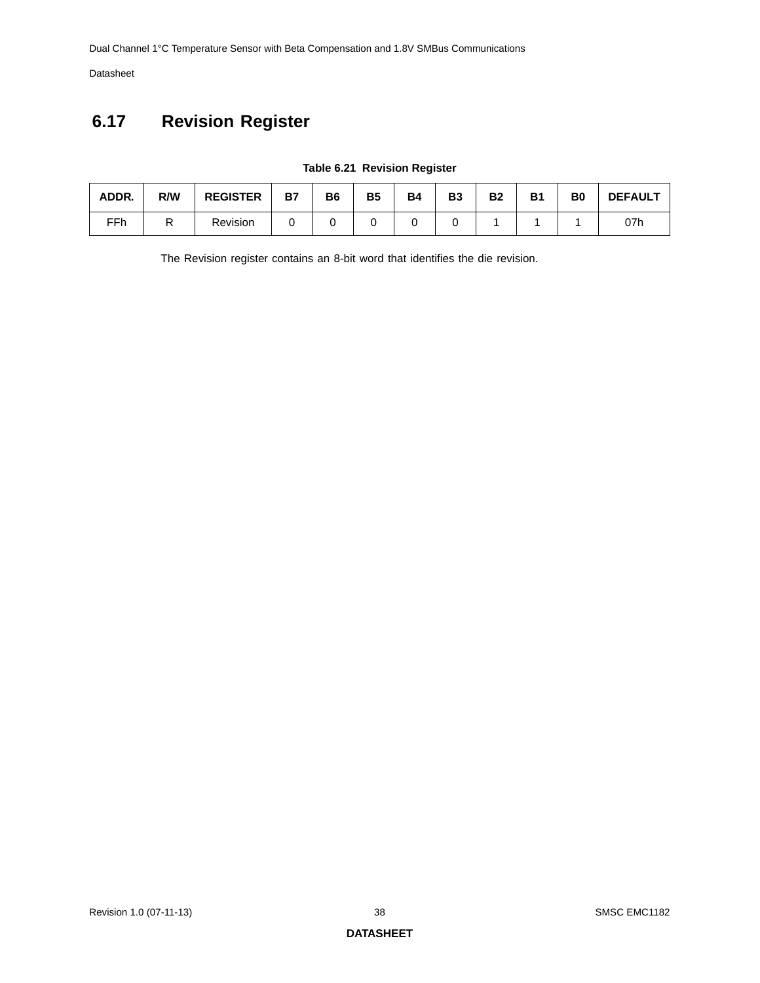Dual Channel 1°C Temperature Sensor with Beta Compensation and 1.8V SMBus Communications

Datasheet

# <span id="page-37-0"></span>**6.17 Revision Register**

<span id="page-37-1"></span>

| ADDR. | R/W | <b>REGISTER</b> | <b>B7</b> | <b>B6</b> | <b>B5</b> | <b>B4</b> | B <sub>3</sub> | <b>B2</b> | <b>B1</b> | B0 | <b>DEFAULT</b> |
|-------|-----|-----------------|-----------|-----------|-----------|-----------|----------------|-----------|-----------|----|----------------|
| FFh   | D   | Revision        |           |           |           |           |                |           |           |    | 07h            |

#### **Table 6.21 Revision Register**

The Revision register contains an 8-bit word that identifies the die revision.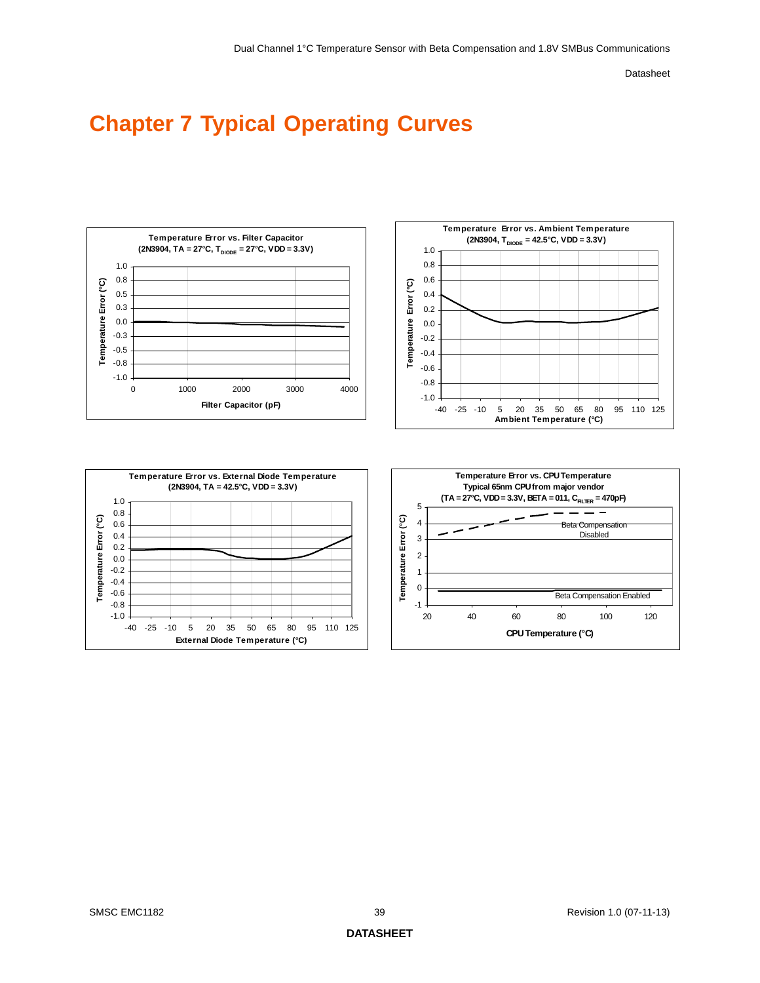# <span id="page-38-0"></span>**Chapter 7 Typical Operating Curves**

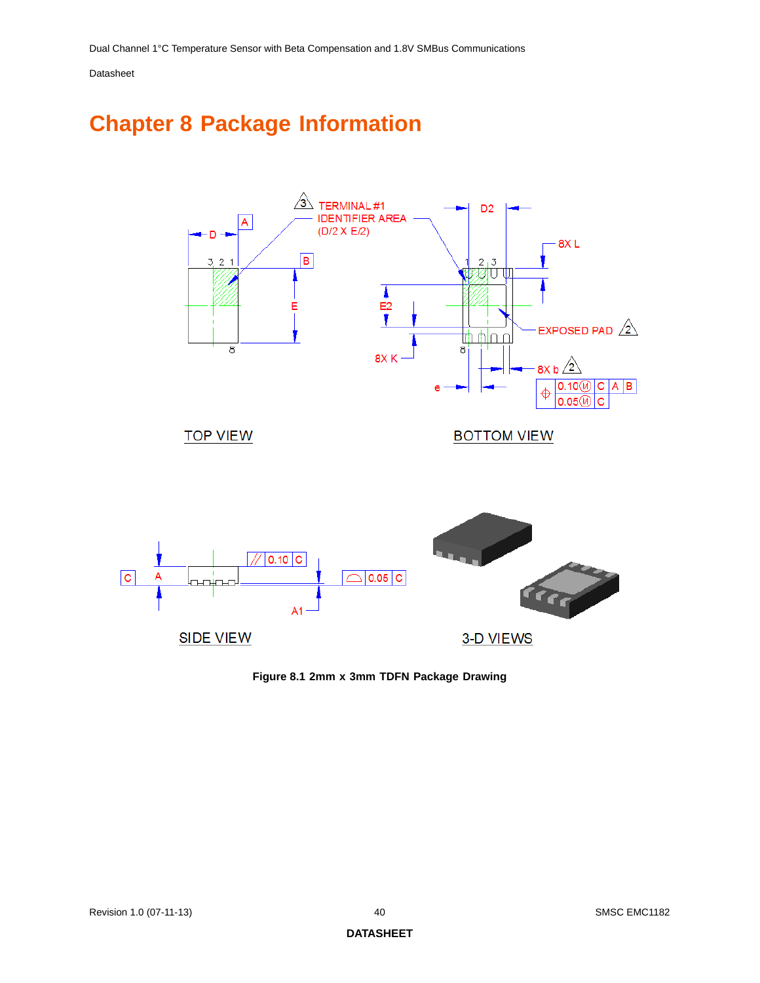# <span id="page-39-0"></span>**Chapter 8 Package Information**



<span id="page-39-1"></span>**Figure 8.1 2mm x 3mm TDFN Package Drawing**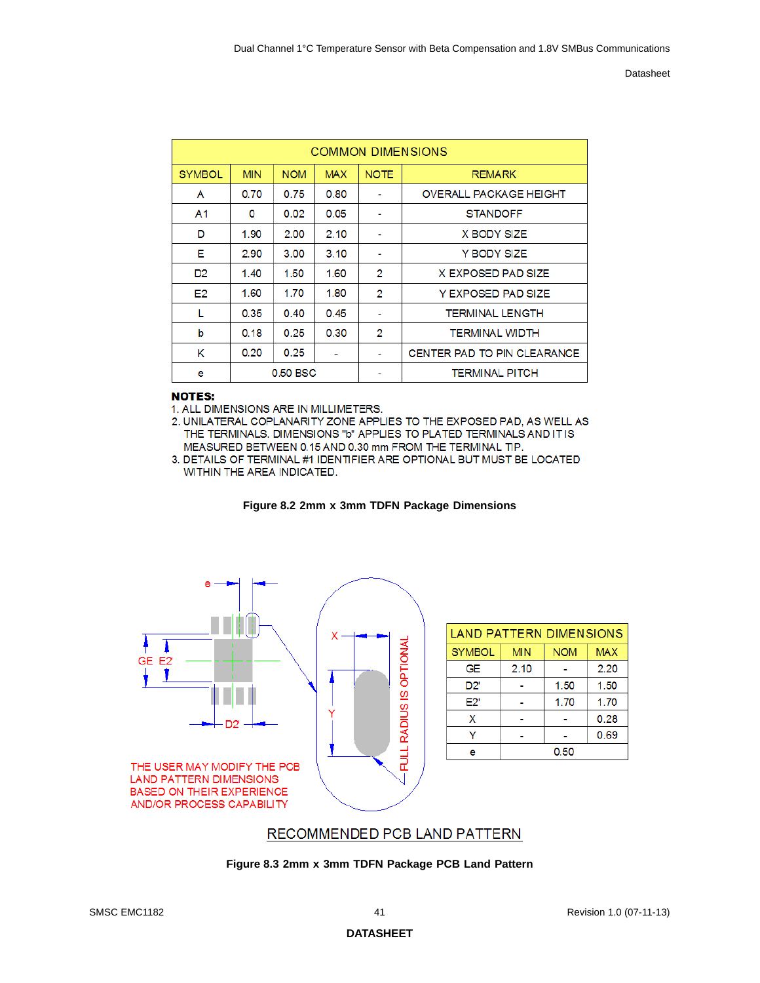|                |            |                   |            |             | <b>COMMON DIMENSIONS</b>           |
|----------------|------------|-------------------|------------|-------------|------------------------------------|
| <b>SYMBOL</b>  | <b>MIN</b> | <b>NOM</b>        | <b>MAX</b> | <b>NOTE</b> | <b>REMARK</b>                      |
| A              | 0.70       | 0.75              | 0.80       |             | <b>OVERALL PACKAGE HEIGHT</b>      |
| A <sub>1</sub> | 0          | 0.02 <sub>1</sub> | 0.05       |             | <b>STANDOFF</b>                    |
| D              | 1.90       | 2.00              | 2.10       |             | X BODY SIZE                        |
| Е              | 2.90       | 3.00              | 3.10       |             | Y BODY SIZE                        |
| D <sub>2</sub> | 1.40       | 1.50              | 1.60       | 2           | X EXPOSED PAD SIZE                 |
| E <sub>2</sub> | 1.60       | 1.70              | 1.80       | 2           | Y EXPOSED PAD SIZE                 |
| L              | 0.35       | 0.40              | 0.45       |             | <b>TERMINAL LENGTH</b>             |
| b              | 0.18       | 0.25              | 0.30       | 2           | <b>TERMINAL WIDTH</b>              |
| κ              | 0.20       | 0.25              |            | ۰           | <b>CENTER PAD TO PIN CLEARANCE</b> |
| e              | 0.50 BSC   |                   |            |             | <b>TERMINAL PITCH</b>              |

#### **NOTES:**

1. ALL DIMENSIONS ARE IN MILLIMETERS.

2. UNILATERAL COPLANARITY ZONE APPLIES TO THE EXPOSED PAD, AS WELL AS THE TERMINALS. DIMENSIONS "b" APPLIES TO PLATED TERMINALS AND IT IS MEASURED BETWEEN 0.15 AND 0.30 mm FROM THE TERMINAL TIP.

<sup>3.</sup> DETAILS OF TERMINAL #1 IDENTIFIER ARE OPTIONAL BUT MUST BE LOCATED WITHIN THE AREA INDICATED.



<span id="page-40-1"></span>

| <b>LAND PATTERN DIMENSIONS</b> |            |            |            |  |  |  |  |  |
|--------------------------------|------------|------------|------------|--|--|--|--|--|
| <b>SYMBOL</b>                  | <b>MIN</b> | <b>NOM</b> | <b>MAX</b> |  |  |  |  |  |
| GE                             | 2.10       |            | 2.20       |  |  |  |  |  |
| D2'                            |            | 1.50       | 1.50       |  |  |  |  |  |
| E2'                            |            | 1.70       | 1.70       |  |  |  |  |  |
| x                              |            |            | 0.28       |  |  |  |  |  |
|                                |            |            | 0.69       |  |  |  |  |  |
| е                              | 0.50       |            |            |  |  |  |  |  |

### RECOMMENDED PCB LAND PATTERN

<span id="page-40-0"></span>**Figure 8.3 2mm x 3mm TDFN Package PCB Land Pattern**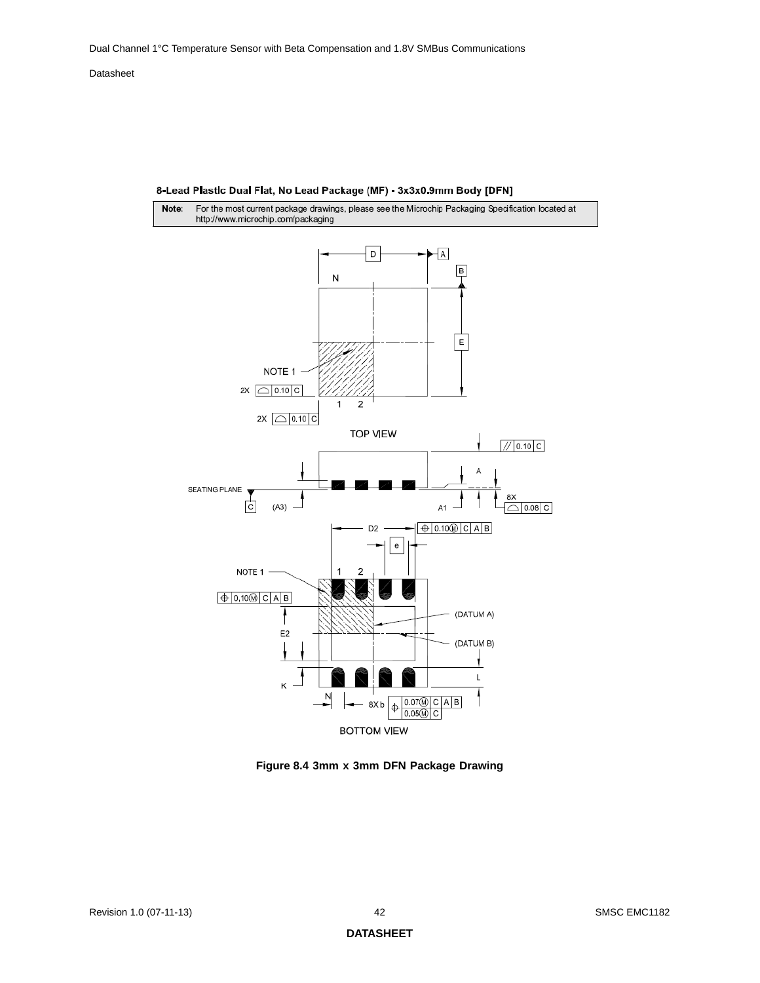

8-Lead Plastic Dual Flat, No Lead Package (MF) - 3x3x0.9mm Body [DFN]

<span id="page-41-0"></span>**Figure 8.4 3mm x 3mm DFN Package Drawing**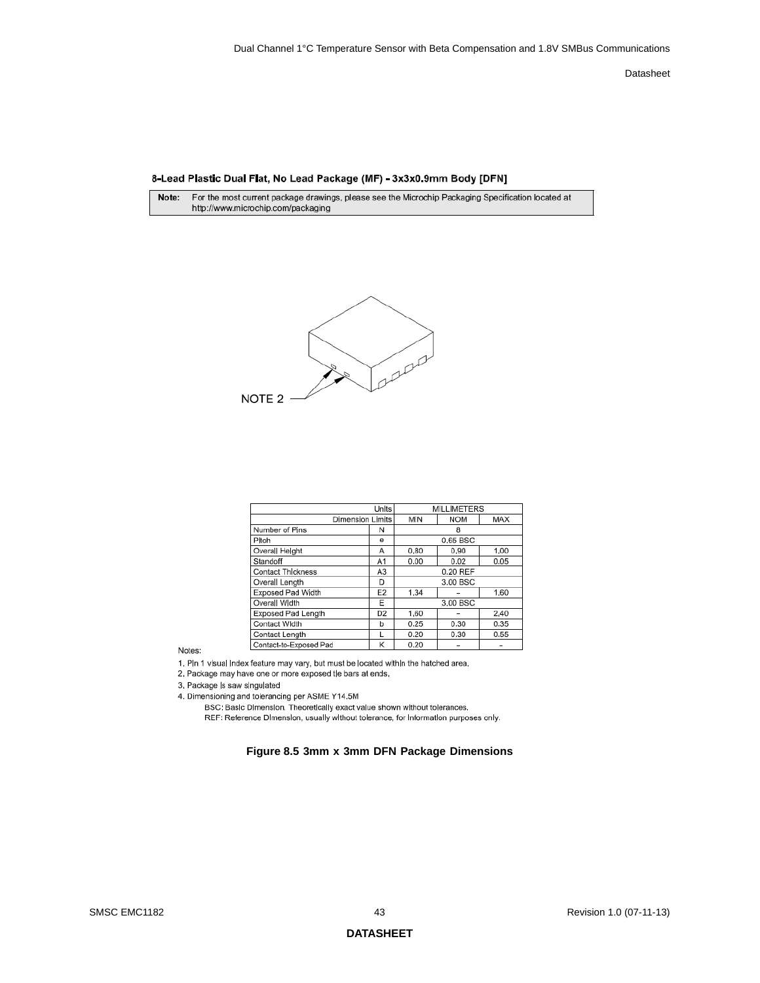#### 8-Lead Plastic Dual Flat, No Lead Package (MF) - 3x3x0.9mm Body [DFN]

For the most current package drawings, please see the Microchip Packaging Specification located at Note: http://www.microchip.com/packaging



|                           | Units            |          |            |      |  |  |
|---------------------------|------------------|----------|------------|------|--|--|
|                           | Dimension Limits | MIN      | <b>NOM</b> | MAX  |  |  |
| Number of Pins            | N                |          | 8          |      |  |  |
| Pitch                     | e                |          | 0.65 BSC   |      |  |  |
| Overal Helght             | Α                | 0.80     | 0.90       | 1.00 |  |  |
| Standoff                  | A1               | 0.00     | 0.02       | 0.05 |  |  |
| <b>Contact Thickness</b>  | A <sub>3</sub>   | 0.20 REF |            |      |  |  |
| Overall Length            | D                |          | 3.00 BSC   |      |  |  |
| <b>Exposed Pad Width</b>  | E <sub>2</sub>   | 1.34     |            | 1.60 |  |  |
| Overall Width             | E                | 3.00 BSC |            |      |  |  |
| <b>Exposed Pad Length</b> | D <sub>2</sub>   | 1,60     |            | 2,40 |  |  |
| Contact Width             | b                | 0.25     | 0.30       | 0.35 |  |  |
| Contact Length            | L                | 0.20     | 0.30       | 0.55 |  |  |
| Contact-to-Exposed Pad    | Κ                | 0.20     |            |      |  |  |

Notes:

1. Pln 1 visual index feature may vary, but must be located within the hatched area.

2. Package may have one or more exposed tle bars at ends.

3. Package is saw singulated

<span id="page-42-0"></span>4. Dimensioning and tolerancing per ASME Y14.5M

BSC: Basic Dimension. Theoretically exact value shown without tolerances.

REF: Reference Dimension, usually without tolerance, for information purposes only.

#### **Figure 8.5 3mm x 3mm DFN Package Dimensions**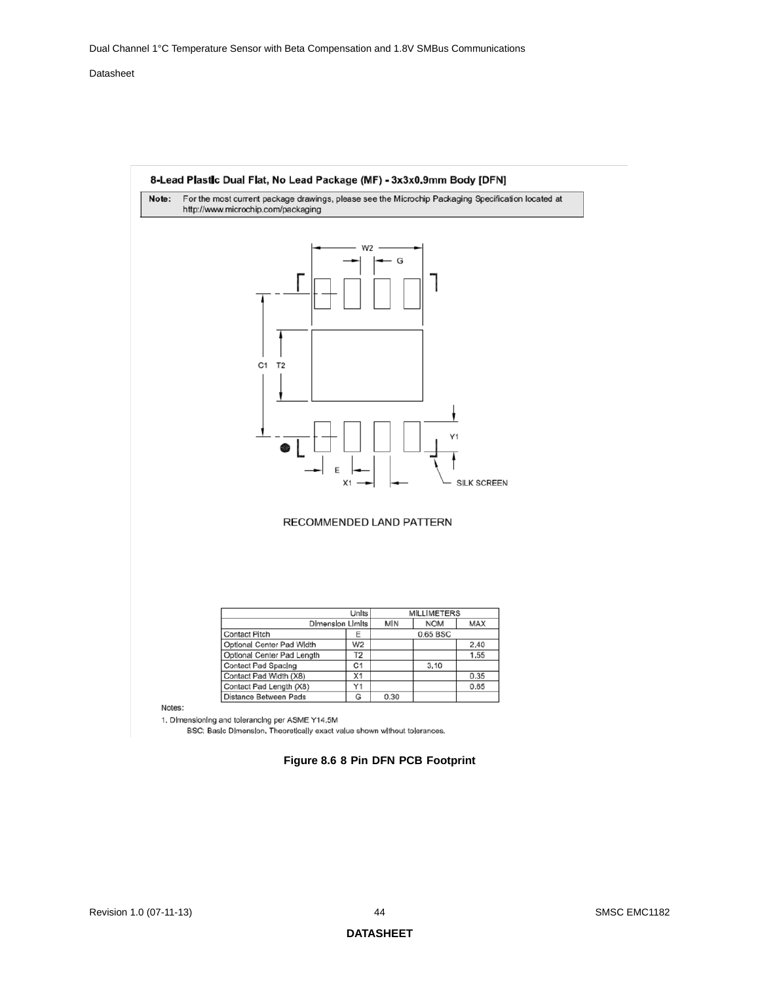

<span id="page-43-0"></span>BSC; Basic Dimension, Theoretically exact value shown without tolerances,

#### **Figure 8.6 8 Pin DFN PCB Footprint**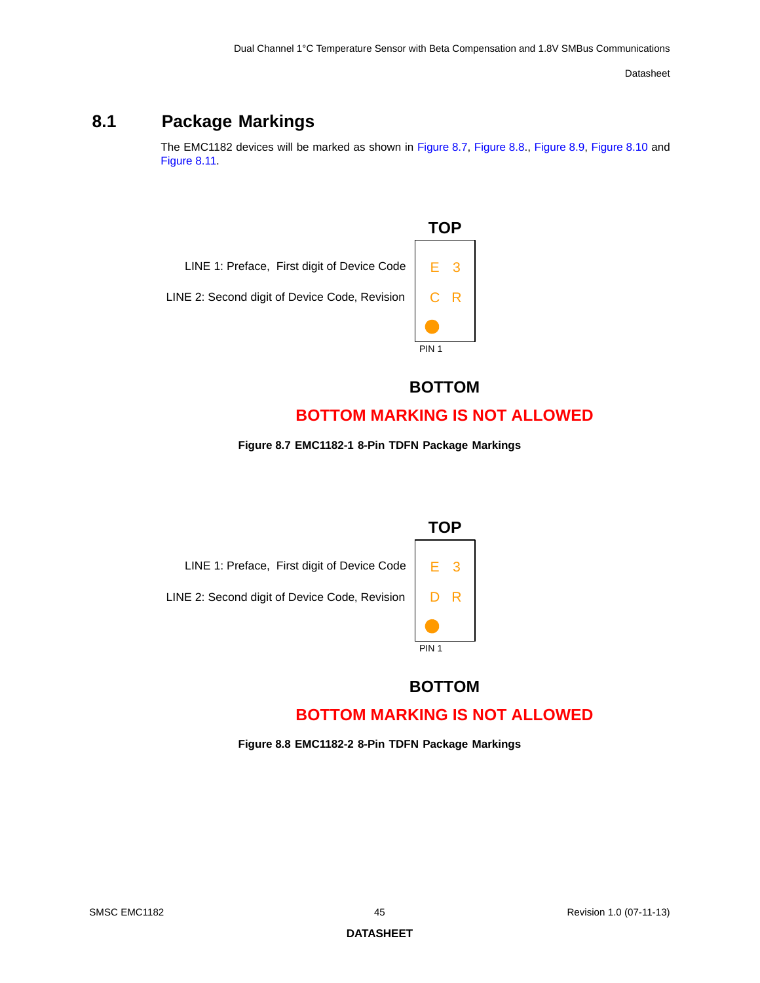# <span id="page-44-0"></span>**8.1 Package Markings**

The EMC1182 devices will be marked as shown in [Figure](#page-44-1) 8.7, [Figure](#page-44-2) 8.8., [Figure](#page-45-0) 8.9, [Figure](#page-45-1) 8.10 and [Figure](#page-46-0) 8.11.



**BOTTOM**

## **BOTTOM MARKING IS NOT ALLOWED**

**Figure 8.7 EMC1182-1 8-Pin TDFN Package Markings** 

<span id="page-44-1"></span>

## **BOTTOM**

# **BOTTOM MARKING IS NOT ALLOWED**

<span id="page-44-2"></span>**Figure 8.8 EMC1182-2 8-Pin TDFN Package Markings**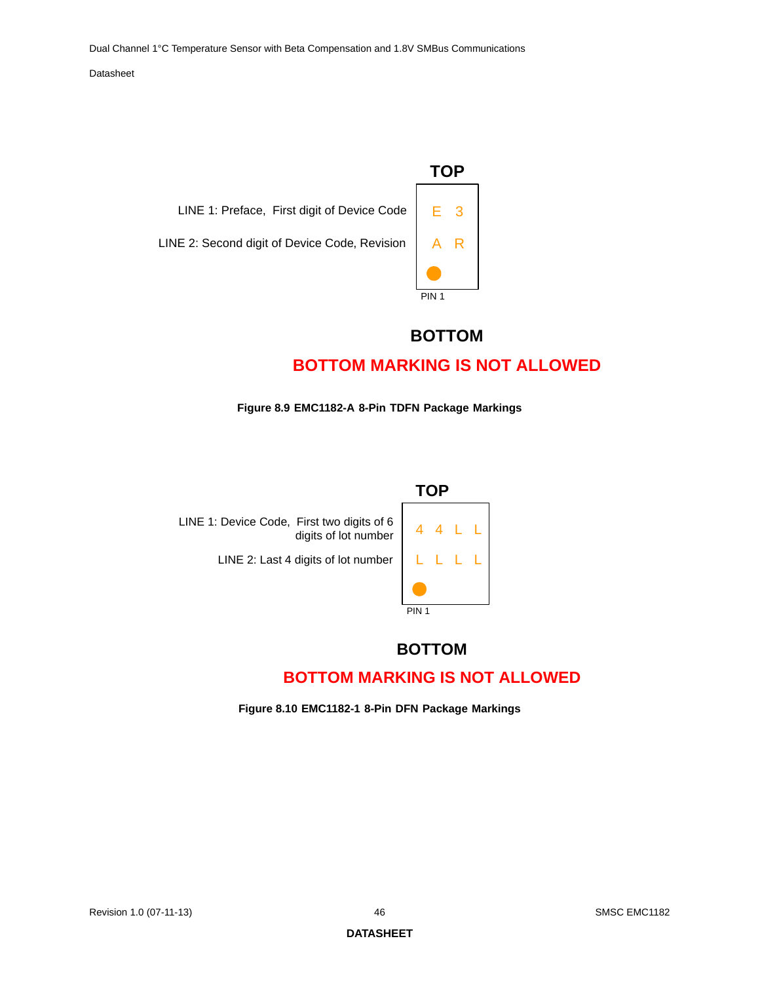

### **BOTTOM**

# **BOTTOM MARKING IS NOT ALLOWED**

#### **Figure 8.9 EMC1182-A 8-Pin TDFN Package Markings**

<span id="page-45-0"></span>

# **TOP** PIN<sub>1</sub> 4 4 L L LLLL

### **BOTTOM**

### **BOTTOM MARKING IS NOT ALLOWED**

<span id="page-45-1"></span>**Figure 8.10 EMC1182-1 8-Pin DFN Package Markings**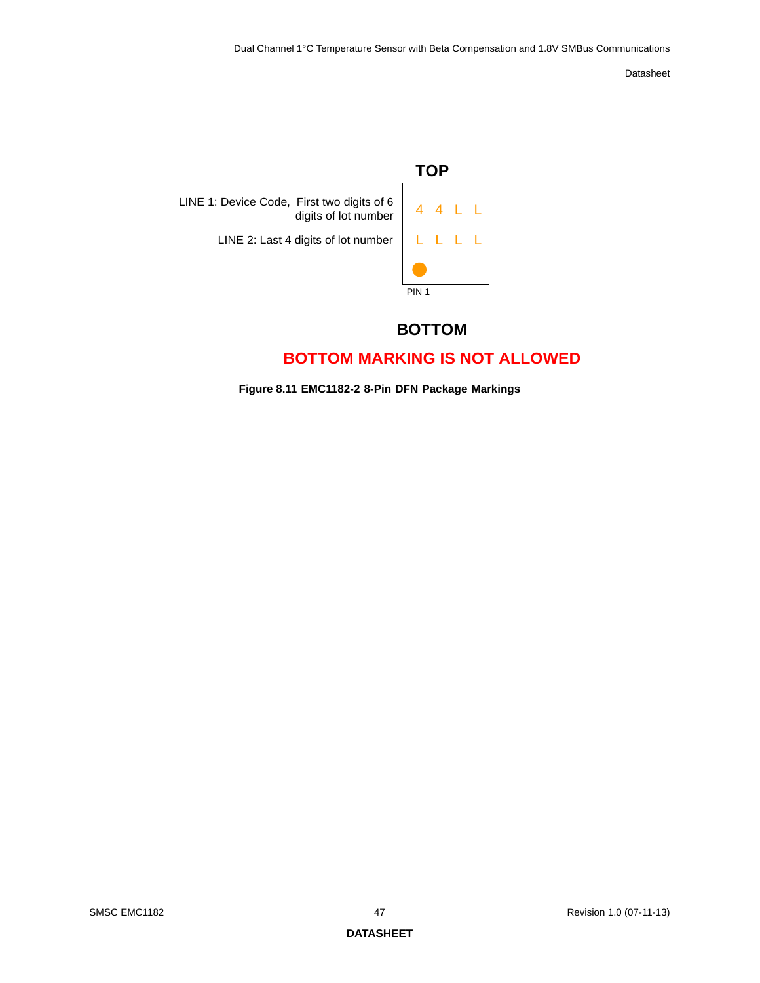

### **BOTTOM**

## **BOTTOM MARKING IS NOT ALLOWED**

<span id="page-46-0"></span>**Figure 8.11 EMC1182-2 8-Pin DFN Package Markings**